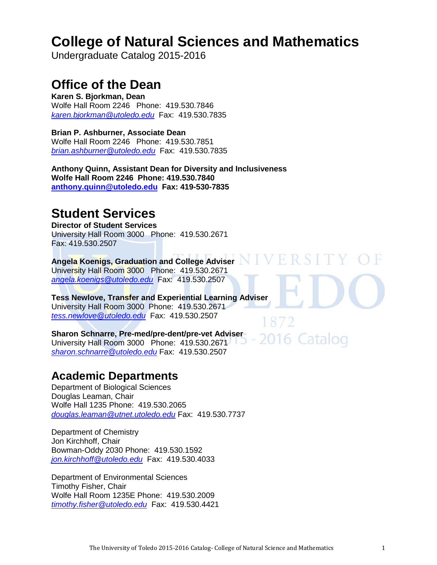# **[College of Natural Sciences and Mathematics](http://www.utoledo.edu/nsm/)**

Undergraduate Catalog 2015-2016

# **Office of the Dean**

**Karen S. Bjorkman, Dean**  Wolfe Hall Room 2246 Phone: 419.530.7846 *[karen.bjorkman@utoledo.edu](mailto:karen.bjorkman@utoledo.edu)* Fax: 419.530.7835

**Brian P. Ashburner, Associate Dean**  Wolfe Hall Room 2246 Phone: 419.530.7851 *[brian.ashburner@utoledo.edu](mailto:brian.ashburner@utoledo.edu)* Fax: 419.530.7835

**Anthony Quinn, Assistant Dean for Diversity and Inclusiveness Wolfe Hall Room 2246 Phone: 419.530.7840 [anthony.quinn@utoledo.edu](mailto:Anthony.quinn@utoledo.edu) Fax: 419-530-7835**

# **Student Services**

**Director of Student Services**  University Hall Room 3000 Phone: 419.530.2671 Fax: 419.530.2507

# **Angela Koenigs, Graduation and College Adviser**

University Hall Room 3000 Phone: 419.530.2671 *[angela.koenigs@utoledo.edu](mailto:angela.koenigs@utoledo.edu)* Fax: 419.530.2507

**Tess Newlove, Transfer and Experiential Learning Adviser** University Hall Room 3000 Phone: 419.530.2671 *[tess.newlove@utoledo.edu](mailto:tess.newlove@utoledo.edu)* Fax: 419.530.2507

**Sharon Schnarre, Pre-med/pre-dent/pre-vet Adviser**  2016 Catalog University Hall Room 3000 Phone: 419.530.2671 *[sharon.schnarre@utoledo.edu](mailto:sharon.schnarre@utoledo.edu)* Fax: 419.530.2507

# **Academic Departments**

Department of Biological Sciences Douglas Leaman, Chair Wolfe Hall 1235 Phone: 419.530.2065 *[douglas.leaman@utnet.utoledo.edu](mailto:douglas.leaman@utnet.utoledo.edu)* Fax: 419.530.7737

Department of Chemistry Jon Kirchhoff, Chair Bowman-Oddy 2030 Phone: 419.530.1592 *[jon.kirchhoff@utoledo.edu](mailto:jon.kirchhoff@utoledo.edu)* Fax: 419.530.4033

Department of Environmental Sciences Timothy Fisher, Chair Wolfe Hall Room 1235E Phone: 419.530.2009 *[timothy.fisher@utoledo.edu](mailto:timothy.fisher@utoledo.edu)* Fax: 419.530.4421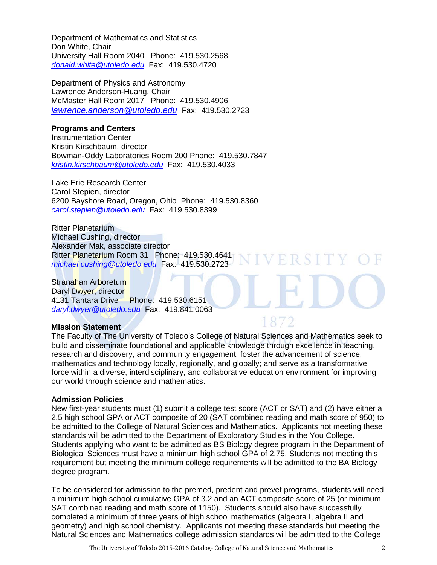Department of Mathematics and Statistics Don White, Chair University Hall Room 2040 Phone: 419.530.2568 *[donald.white@utoledo.edu](mailto:donald.white@utoledo.edu)* Fax: 419.530.4720

Department of Physics and Astronomy Lawrence Anderson-Huang, Chair McMaster Hall Room 2017 Phone: 419.530.4906 *[lawrence.anderson@utoledo.edu](mailto:lawrence.anderson@utoledo.edu)* Fax: 419.530.2723

#### **Programs and Centers**

Instrumentation Center Kristin Kirschbaum, director Bowman-Oddy Laboratories Room 200 Phone: 419.530.7847 *[kristin.kirschbaum@utoledo.edu](mailto:kristin.kirschbaum@utoledo.edu)* Fax: 419.530.4033

Lake Erie Research Center Carol Stepien, director 6200 Bayshore Road, Oregon, Ohio Phone: 419.530.8360 *[carol.stepien@utoledo.edu](mailto:carol.stepien@utoledo.edu)* Fax: 419.530.8399

Ritter Planetarium Michael Cushing, director Alexander Mak, associate director Ritter Planetarium Room 31 Phone: 419.530.4641 *[michael.cushing@utoledo.edu](mailto:michael.cushing@utoledo.edu)* Fax: 419.530.2723

Stranahan Arboretum Daryl Dwyer, director 4131 Tantara Drive Phone: 419.530.6151 *[daryl.dwyer@utoledo.edu](mailto:daryl.dwyer@utoledo.edu)* Fax: 419.841.0063

# **Mission Statement**

The Faculty of The University of Toledo's College of Natural Sciences and Mathematics seek to build and disseminate foundational and applicable knowledge through excellence in teaching, research and discovery, and community engagement; foster the advancement of science, mathematics and technology locally, regionally, and globally; and serve as a transformative force within a diverse, interdisciplinary, and collaborative education environment for improving our world through science and mathematics.

VERSIT

# **Admission Policies**

New first-year students must (1) submit a college test score (ACT or SAT) and (2) have either a 2.5 high school GPA or ACT composite of 20 (SAT combined reading and math score of 950) to be admitted to the College of Natural Sciences and Mathematics. Applicants not meeting these standards will be admitted to the Department of Exploratory Studies in the You College. Students applying who want to be admitted as BS Biology degree program in the Department of Biological Sciences must have a minimum high school GPA of 2.75. Students not meeting this requirement but meeting the minimum college requirements will be admitted to the BA Biology degree program.

To be considered for admission to the premed, predent and prevet programs, students will need a minimum high school cumulative GPA of 3.2 and an ACT composite score of 25 (or minimum SAT combined reading and math score of 1150). Students should also have successfully completed a minimum of three years of high school mathematics (algebra I, algebra II and geometry) and high school chemistry. Applicants not meeting these standards but meeting the Natural Sciences and Mathematics college admission standards will be admitted to the College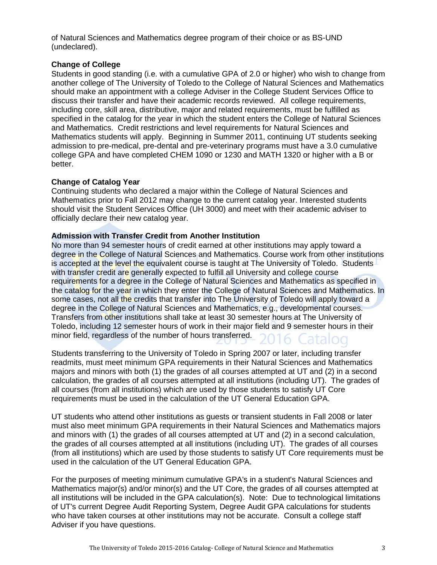of Natural Sciences and Mathematics degree program of their choice or as BS-UND (undeclared).

#### **Change of College**

Students in good standing (i.e. with a cumulative GPA of 2.0 or higher) who wish to change from another college of The University of Toledo to the College of Natural Sciences and Mathematics should make an appointment with a college Adviser in the College Student Services Office to discuss their transfer and have their academic records reviewed. All college requirements, including core, skill area, distributive, major and related requirements, must be fulfilled as specified in the catalog for the year in which the student enters the College of Natural Sciences and Mathematics. Credit restrictions and level requirements for Natural Sciences and Mathematics students will apply. Beginning in Summer 2011, continuing UT students seeking admission to pre-medical, pre-dental and pre-veterinary programs must have a 3.0 cumulative college GPA and have completed CHEM 1090 or 1230 and MATH 1320 or higher with a B or better.

# **Change of Catalog Year**

Continuing students who declared a major within the College of Natural Sciences and Mathematics prior to Fall 2012 may change to the current catalog year. Interested students should visit the Student Services Office (UH 3000) and meet with their academic adviser to officially declare their new catalog year.

## **Admission with Transfer Credit from Another Institution**

No more than 94 semester hours of credit earned at other institutions may apply toward a degree in the College of Natural Sciences and Mathematics. Course work from other institutions is accepted at the level the equivalent course is taught at The University of Toledo. Students with transfer credit are generally expected to fulfill all University and college course requirements for a degree in the College of Natural Sciences and Mathematics as specified in the catalog for the year in which they enter the College of Natural Sciences and Mathematics. In some cases, not all the credits that transfer into The University of Toledo will apply toward a degree in the College of Natural Sciences and Mathematics, e.g., developmental courses. Transfers from other institutions shall take at least 30 semester hours at The University of Toledo, including 12 semester hours of work in their major field and 9 semester hours in their minor field, regardless of the number of hours transferred. 16 Catalog

Students transferring to the University of Toledo in Spring 2007 or later, including transfer readmits, must meet minimum GPA requirements in their Natural Sciences and Mathematics majors and minors with both (1) the grades of all courses attempted at UT and (2) in a second calculation, the grades of all courses attempted at all institutions (including UT). The grades of all courses (from all institutions) which are used by those students to satisfy UT Core requirements must be used in the calculation of the UT General Education GPA.

UT students who attend other institutions as guests or transient students in Fall 2008 or later must also meet minimum GPA requirements in their Natural Sciences and Mathematics majors and minors with (1) the grades of all courses attempted at UT and (2) in a second calculation, the grades of all courses attempted at all institutions (including UT). The grades of all courses (from all institutions) which are used by those students to satisfy UT Core requirements must be used in the calculation of the UT General Education GPA.

For the purposes of meeting minimum cumulative GPA's in a student's Natural Sciences and Mathematics major(s) and/or minor(s) and the UT Core, the grades of all courses attempted at all institutions will be included in the GPA calculation(s). Note: Due to technological limitations of UT's current Degree Audit Reporting System, Degree Audit GPA calculations for students who have taken courses at other institutions may not be accurate. Consult a college staff Adviser if you have questions.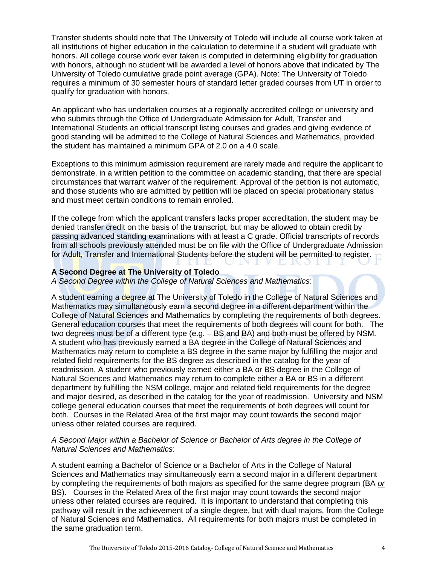Transfer students should note that The University of Toledo will include all course work taken at all institutions of higher education in the calculation to determine if a student will graduate with honors. All college course work ever taken is computed in determining eligibility for graduation with honors, although no student will be awarded a level of honors above that indicated by The University of Toledo cumulative grade point average (GPA). Note: The University of Toledo requires a minimum of 30 semester hours of standard letter graded courses from UT in order to qualify for graduation with honors.

An applicant who has undertaken courses at a regionally accredited college or university and who submits through the Office of Undergraduate Admission for Adult, Transfer and International Students an official transcript listing courses and grades and giving evidence of good standing will be admitted to the College of Natural Sciences and Mathematics, provided the student has maintained a minimum GPA of 2.0 on a 4.0 scale.

Exceptions to this minimum admission requirement are rarely made and require the applicant to demonstrate, in a written petition to the committee on academic standing, that there are special circumstances that warrant waiver of the requirement. Approval of the petition is not automatic, and those students who are admitted by petition will be placed on special probationary status and must meet certain conditions to remain enrolled.

If the college from which the applicant transfers lacks proper accreditation, the student may be denied transfer credit on the basis of the transcript, but may be allowed to obtain credit by passing advanced standing examinations with at least a C grade. Official transcripts of records from all schools previously attended must be on file with the Office of Undergraduate Admission for Adult, Transfer and International Students before the student will be permitted to register.

## **A Second Degree at The University of Toledo**

*A Second Degree within the College of Natural Sciences and Mathematics*:

A student earning a degree at The University of Toledo in the College of Natural Sciences and Mathematics may simultaneously earn a second degree in a different department within the College of Natural Sciences and Mathematics by completing the requirements of both degrees. General education courses that meet the requirements of both degrees will count for both. The two degrees must be of a different type (e.g. – BS and BA) and both must be offered by NSM. A student who has previously earned a BA degree in the College of Natural Sciences and Mathematics may return to complete a BS degree in the same major by fulfilling the major and related field requirements for the BS degree as described in the catalog for the year of readmission. A student who previously earned either a BA or BS degree in the College of Natural Sciences and Mathematics may return to complete either a BA or BS in a different department by fulfilling the NSM college, major and related field requirements for the degree and major desired, as described in the catalog for the year of readmission. University and NSM college general education courses that meet the requirements of both degrees will count for both. Courses in the Related Area of the first major may count towards the second major unless other related courses are required.

## *A Second Major within a Bachelor of Science or Bachelor of Arts degree in the College of Natural Sciences and Mathematics*:

A student earning a Bachelor of Science or a Bachelor of Arts in the College of Natural Sciences and Mathematics may simultaneously earn a second major in a different department by completing the requirements of both majors as specified for the same degree program (BA *or* BS). Courses in the Related Area of the first major may count towards the second major unless other related courses are required. It is important to understand that completing this pathway will result in the achievement of a single degree, but with dual majors, from the College of Natural Sciences and Mathematics. All requirements for both majors must be completed in the same graduation term.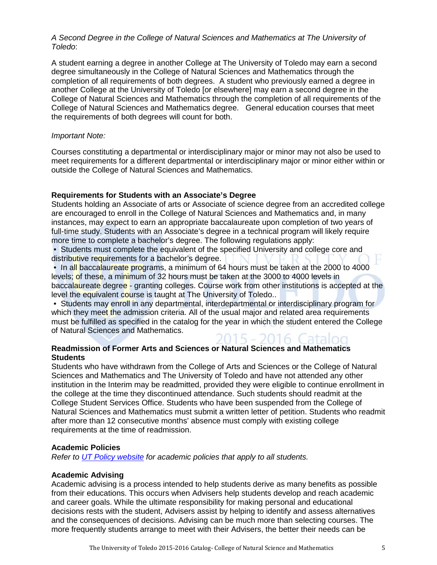### *A Second Degree in the College of Natural Sciences and Mathematics at The University of Toledo*:

A student earning a degree in another College at The University of Toledo may earn a second degree simultaneously in the College of Natural Sciences and Mathematics through the completion of all requirements of both degrees. A student who previously earned a degree in another College at the University of Toledo [or elsewhere] may earn a second degree in the College of Natural Sciences and Mathematics through the completion of all requirements of the College of Natural Sciences and Mathematics degree. General education courses that meet the requirements of both degrees will count for both.

## *Important Note:*

Courses constituting a departmental or interdisciplinary major or minor may not also be used to meet requirements for a different departmental or interdisciplinary major or minor either within or outside the College of Natural Sciences and Mathematics.

## **Requirements for Students with an Associate's Degree**

Students holding an Associate of arts or Associate of science degree from an accredited college are encouraged to enroll in the College of Natural Sciences and Mathematics and, in many instances, may expect to earn an appropriate baccalaureate upon completion of two years of full-time study. Students with an Associate's degree in a technical program will likely require more time to complete a bachelor's degree. The following regulations apply:

• Students must complete the equivalent of the specified University and college core and distributive requirements for a bachelor's degree.

• In all baccalaureate programs, a minimum of 64 hours must be taken at the 2000 to 4000 levels; of these, a minimum of 32 hours must be taken at the 3000 to 4000 levels in baccalaureate degree - granting colleges. Course work from other institutions is accepted at the level the equivalent course is taught at The University of Toledo..

• Students may enroll in any departmental, interdepartmental or interdisciplinary program for which they meet the admission criteria. All of the usual major and related area requirements must be fulfilled as specified in the catalog for the year in which the student entered the College of Natural Sciences and Mathematics. 2015 - 2016. Catalog

# **Readmission of Former Arts and Sciences or Natural Sciences and Mathematics Students**

Students who have withdrawn from the College of Arts and Sciences or the College of Natural Sciences and Mathematics and The University of Toledo and have not attended any other institution in the Interim may be readmitted, provided they were eligible to continue enrollment in the college at the time they discontinued attendance. Such students should readmit at the College Student Services Office. Students who have been suspended from the College of Natural Sciences and Mathematics must submit a written letter of petition. Students who readmit after more than 12 consecutive months' absence must comply with existing college requirements at the time of readmission.

#### **Academic Policies**

*Refer to [UT Policy website](http://utoledo.edu/policies/) for academic policies that apply to all students.*

#### **Academic Advising**

Academic advising is a process intended to help students derive as many benefits as possible from their educations. This occurs when Advisers help students develop and reach academic and career goals. While the ultimate responsibility for making personal and educational decisions rests with the student, Advisers assist by helping to identify and assess alternatives and the consequences of decisions. Advising can be much more than selecting courses. The more frequently students arrange to meet with their Advisers, the better their needs can be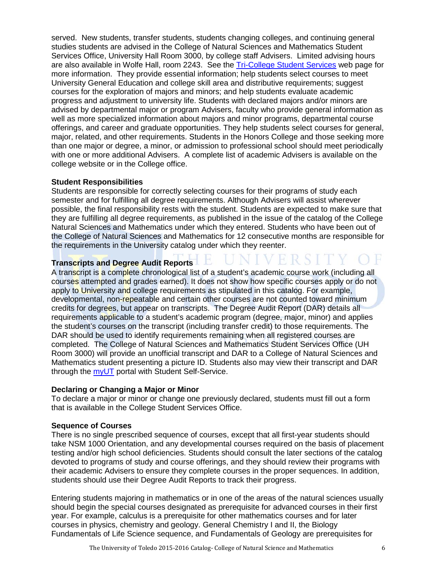served. New students, transfer students, students changing colleges, and continuing general studies students are advised in the College of Natural Sciences and Mathematics Student Services Office, University Hall Room 3000, by college staff Advisers. Limited advising hours are also available in Wolfe Hall, room 2243. See the [Tri-College Student Services](http://www.utoledo.edu/offices/studentservices/index.html) web page for more information. They provide essential information; help students select courses to meet University General Education and college skill area and distributive requirements; suggest courses for the exploration of majors and minors; and help students evaluate academic progress and adjustment to university life. Students with declared majors and/or minors are advised by departmental major or program Advisers, faculty who provide general information as well as more specialized information about majors and minor programs, departmental course offerings, and career and graduate opportunities. They help students select courses for general, major, related, and other requirements. Students in the Honors College and those seeking more than one major or degree, a minor, or admission to professional school should meet periodically with one or more additional Advisers. A complete list of academic Advisers is available on the college website or in the College office.

## **Student Responsibilities**

Students are responsible for correctly selecting courses for their programs of study each semester and for fulfilling all degree requirements. Although Advisers will assist wherever possible, the final responsibility rests with the student. Students are expected to make sure that they are fulfilling all degree requirements, as published in the issue of the catalog of the College Natural Sciences and Mathematics under which they entered. Students who have been out of the College of Natural Sciences and Mathematics for 12 consecutive months are responsible for the requirements in the University catalog under which they reenter.

# **Transcripts and Degree Audit Reports**

A transcript is a complete chronological list of a student's academic course work (including all courses attempted and grades earned). It does not show how specific courses apply or do not apply to University and college requirements as stipulated in this catalog. For example, developmental, non-repeatable and certain other courses are not counted toward minimum credits for degrees, but appear on transcripts. The Degree Audit Report (DAR) details all requirements applicable to a student's academic program (degree, major, minor) and applies the student's courses on the transcript (including transfer credit) to those requirements. The DAR should be used to identify requirements remaining when all registered courses are completed. The College of Natural Sciences and Mathematics Student Services Office (UH Room 3000) will provide an unofficial transcript and DAR to a College of Natural Sciences and Mathematics student presenting a picture ID. Students also may view their transcript and DAR through the [myUT](http://myut.utoledo.edu/) portal with Student Self-Service.

#### **Declaring or Changing a Major or Minor**

To declare a major or minor or change one previously declared, students must fill out a form that is available in the College Student Services Office.

#### **Sequence of Courses**

There is no single prescribed sequence of courses, except that all first-year students should take NSM 1000 Orientation, and any developmental courses required on the basis of placement testing and/or high school deficiencies. Students should consult the later sections of the catalog devoted to programs of study and course offerings, and they should review their programs with their academic Advisers to ensure they complete courses in the proper sequences. In addition, students should use their Degree Audit Reports to track their progress.

Entering students majoring in mathematics or in one of the areas of the natural sciences usually should begin the special courses designated as prerequisite for advanced courses in their first year. For example, calculus is a prerequisite for other mathematics courses and for later courses in physics, chemistry and geology. General Chemistry I and II, the Biology Fundamentals of Life Science sequence, and Fundamentals of Geology are prerequisites for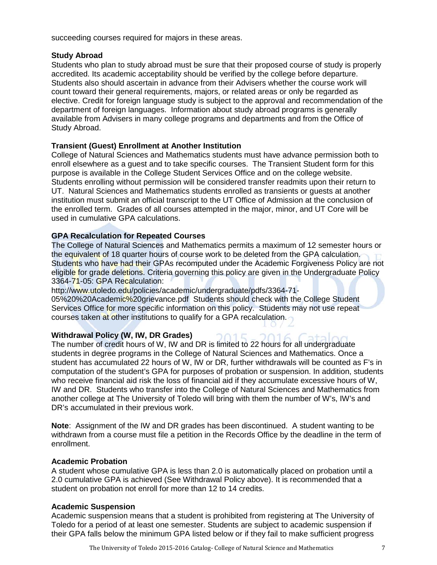succeeding courses required for majors in these areas.

### **Study Abroad**

Students who plan to study abroad must be sure that their proposed course of study is properly accredited. Its academic acceptability should be verified by the college before departure. Students also should ascertain in advance from their Advisers whether the course work will count toward their general requirements, majors, or related areas or only be regarded as elective. Credit for foreign language study is subject to the approval and recommendation of the department of foreign languages. Information about study abroad programs is generally available from Advisers in many college programs and departments and from the Office of Study Abroad.

# **Transient (Guest) Enrollment at Another Institution**

College of Natural Sciences and Mathematics students must have advance permission both to enroll elsewhere as a guest and to take specific courses. The Transient Student form for this purpose is available in the College Student Services Office and on the college website. Students enrolling without permission will be considered transfer readmits upon their return to UT. Natural Sciences and Mathematics students enrolled as transients or guests at another institution must submit an official transcript to the UT Office of Admission at the conclusion of the enrolled term. Grades of all courses attempted in the major, minor, and UT Core will be used in cumulative GPA calculations.

# **GPA Recalculation for Repeated Courses**

The College of Natural Sciences and Mathematics permits a maximum of 12 semester hours or the equivalent of 18 quarter hours of course work to be deleted from the GPA calculation. Students who have had their GPAs recomputed under the Academic Forgiveness Policy are not eligible for grade deletions. Criteria governing this policy are given in the Undergraduate Policy 3364-71-05: GPA Recalculation:

http://www.utoledo.edu/policies/academic/undergraduate/pdfs/3364-71-

05%20%20Academic%20grievance.pdf Students should check with the College Student Services Office for more specific information on this policy. Students may not use repeat courses taken at other institutions to qualify for a GPA recalculation.

# **Withdrawal Policy (W, IW, DR Grades) 2015**

The number of credit hours of W, IW and DR is limited to 22 hours for all undergraduate students in degree programs in the College of Natural Sciences and Mathematics. Once a student has accumulated 22 hours of W, IW or DR, further withdrawals will be counted as F's in computation of the student's GPA for purposes of probation or suspension. In addition, students who receive financial aid risk the loss of financial aid if they accumulate excessive hours of W, IW and DR. Students who transfer into the College of Natural Sciences and Mathematics from another college at The University of Toledo will bring with them the number of W's, IW's and DR's accumulated in their previous work.

**Note**: Assignment of the IW and DR grades has been discontinued. A student wanting to be withdrawn from a course must file a petition in the Records Office by the deadline in the term of enrollment.

# **Academic Probation**

A student whose cumulative GPA is less than 2.0 is automatically placed on probation until a 2.0 cumulative GPA is achieved (See Withdrawal Policy above). It is recommended that a student on probation not enroll for more than 12 to 14 credits.

# **Academic Suspension**

Academic suspension means that a student is prohibited from registering at The University of Toledo for a period of at least one semester. Students are subject to academic suspension if their GPA falls below the minimum GPA listed below or if they fail to make sufficient progress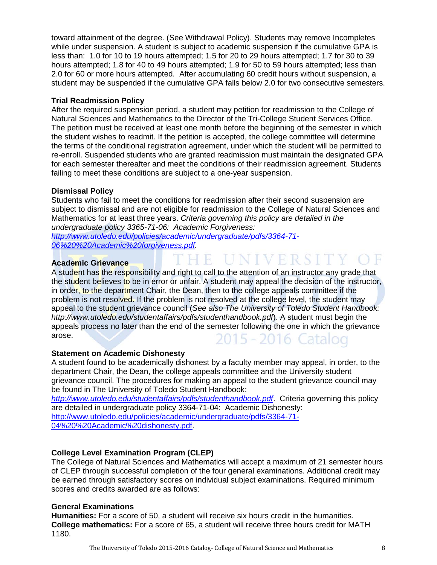toward attainment of the degree. (See Withdrawal Policy). Students may remove Incompletes while under suspension. A student is subject to academic suspension if the cumulative GPA is less than: 1.0 for 10 to 19 hours attempted; 1.5 for 20 to 29 hours attempted; 1.7 for 30 to 39 hours attempted; 1.8 for 40 to 49 hours attempted; 1.9 for 50 to 59 hours attempted; less than 2.0 for 60 or more hours attempted. After accumulating 60 credit hours without suspension, a student may be suspended if the cumulative GPA falls below 2.0 for two consecutive semesters.

# **Trial Readmission Policy**

After the required suspension period, a student may petition for readmission to the College of Natural Sciences and Mathematics to the Director of the Tri-College Student Services Office. The petition must be received at least one month before the beginning of the semester in which the student wishes to readmit. If the petition is accepted, the college committee will determine the terms of the conditional registration agreement, under which the student will be permitted to re-enroll. Suspended students who are granted readmission must maintain the designated GPA for each semester thereafter and meet the conditions of their readmission agreement. Students failing to meet these conditions are subject to a one-year suspension.

## **Dismissal Policy**

Students who fail to meet the conditions for readmission after their second suspension are subject to dismissal and are not eligible for readmission to the College of Natural Sciences and Mathematics for at least three years. *Criteria governing this policy are detailed in the undergraduate policy 3365-71-06: Academic Forgiveness: [http://www.utoledo.edu/policies/academic/undergraduate/pdfs/3364-71-](http://www.utoledo.edu/policies/academic/undergraduate/pdfs/3364-71-06%20%20Academic%20forgiveness.pdf)*

HE UNIVERSITY OF

*[06%20%20Academic%20forgiveness.pdf.](http://www.utoledo.edu/policies/academic/undergraduate/pdfs/3364-71-06%20%20Academic%20forgiveness.pdf)* 

# **Academic Grievance**

A student has the responsibility and right to call to the attention of an instructor any grade that the student believes to be in error or unfair. A student may appeal the decision of the instructor, in order, to the department Chair, the Dean, then to the college appeals committee if the problem is not resolved. If the problem is not resolved at the college level, the student may appeal to the student grievance council (*See also The University of Toledo Student Handbook: http://www.utoledo.edu/studentaffairs/pdfs/studenthandbook.pdf*). A student must begin the appeals process no later than the end of the semester following the one in which the grievance arose. 2015 - 2016 Catalog

# **Statement on Academic Dishonesty**

A student found to be academically dishonest by a faculty member may appeal, in order, to the department Chair, the Dean, the college appeals committee and the University student grievance council. The procedures for making an appeal to the student grievance council may be found in The University of Toledo Student Handbook:

*<http://www.utoledo.edu/studentaffairs/pdfs/studenthandbook.pdf>*. Criteria governing this policy are detailed in undergraduate policy 3364-71-04: Academic Dishonesty: [http://www.utoledo.edu/policies/academic/undergraduate/pdfs/3364-71-](http://www.utoledo.edu/policies/academic/undergraduate/pdfs/3364-71-04%20%20Academic%20dishonesty.pdf)

[04%20%20Academic%20dishonesty.pdf.](http://www.utoledo.edu/policies/academic/undergraduate/pdfs/3364-71-04%20%20Academic%20dishonesty.pdf)

# **College Level Examination Program (CLEP)**

The College of Natural Sciences and Mathematics will accept a maximum of 21 semester hours of CLEP through successful completion of the four general examinations. Additional credit may be earned through satisfactory scores on individual subject examinations. Required minimum scores and credits awarded are as follows:

#### **General Examinations**

**Humanities:** For a score of 50, a student will receive six hours credit in the humanities. **College mathematics:** For a score of 65, a student will receive three hours credit for MATH 1180.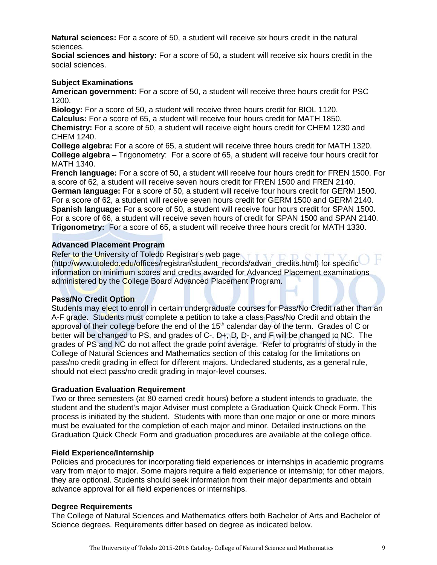**Natural sciences:** For a score of 50, a student will receive six hours credit in the natural sciences.

**Social sciences and history:** For a score of 50, a student will receive six hours credit in the social sciences.

# **Subject Examinations**

**American government:** For a score of 50, a student will receive three hours credit for PSC 1200.

**Biology:** For a score of 50, a student will receive three hours credit for BIOL 1120. **Calculus:** For a score of 65, a student will receive four hours credit for MATH 1850. **Chemistry:** For a score of 50, a student will receive eight hours credit for CHEM 1230 and CHEM 1240.

**College algebra:** For a score of 65, a student will receive three hours credit for MATH 1320. **College algebra** – Trigonometry: For a score of 65, a student will receive four hours credit for MATH 1340.

**French language:** For a score of 50, a student will receive four hours credit for FREN 1500. For a score of 62, a student will receive seven hours credit for FREN 1500 and FREN 2140. **German language:** For a score of 50, a student will receive four hours credit for GERM 1500. For a score of 62, a student will receive seven hours credit for GERM 1500 and GERM 2140. **Spanish language:** For a score of 50, a student will receive four hours credit for SPAN 1500. For a score of 66, a student will receive seven hours of credit for SPAN 1500 and SPAN 2140. **Trigonometry:** For a score of 65, a student will receive three hours credit for MATH 1330.

#### **Advanced Placement Program**

Refer to the University of Toledo Registrar's web page (http://www.utoledo.edu/offices/registrar/student\_records/advan\_credits.html) for specific information on minimum scores and credits awarded for Advanced Placement examinations administered by the College Board Advanced Placement Program.

#### **Pass/No Credit Option**

Students may elect to enroll in certain undergraduate courses for Pass/No Credit rather than an A-F grade. Students must complete a petition to take a class Pass/No Credit and obtain the approval of their college before the end of the  $15<sup>th</sup>$  calendar day of the term. Grades of C or better will be changed to PS, and grades of C-, D+, D, D-, and F will be changed to NC. The grades of PS and NC do not affect the grade point average. Refer to programs of study in the College of Natural Sciences and Mathematics section of this catalog for the limitations on pass/no credit grading in effect for different majors. Undeclared students, as a general rule, should not elect pass/no credit grading in major-level courses.

#### **Graduation Evaluation Requirement**

Two or three semesters (at 80 earned credit hours) before a student intends to graduate, the student and the student's major Adviser must complete a Graduation Quick Check Form. This process is initiated by the student. Students with more than one major or one or more minors must be evaluated for the completion of each major and minor. Detailed instructions on the Graduation Quick Check Form and graduation procedures are available at the college office.

#### **Field Experience/Internship**

Policies and procedures for incorporating field experiences or internships in academic programs vary from major to major. Some majors require a field experience or internship; for other majors, they are optional. Students should seek information from their major departments and obtain advance approval for all field experiences or internships.

#### **Degree Requirements**

The College of Natural Sciences and Mathematics offers both Bachelor of Arts and Bachelor of Science degrees. Requirements differ based on degree as indicated below.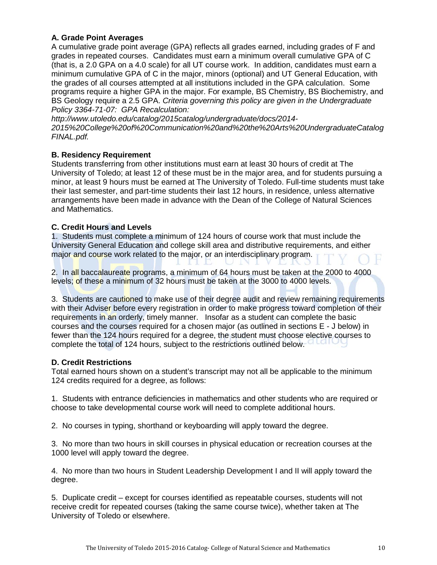# **A. Grade Point Averages**

A cumulative grade point average (GPA) reflects all grades earned, including grades of F and grades in repeated courses. Candidates must earn a minimum overall cumulative GPA of C (that is, a 2.0 GPA on a 4.0 scale) for all UT course work. In addition, candidates must earn a minimum cumulative GPA of C in the major, minors (optional) and UT General Education, with the grades of all courses attempted at all institutions included in the GPA calculation. Some programs require a higher GPA in the major. For example, BS Chemistry, BS Biochemistry, and BS Geology require a 2.5 GPA. *Criteria governing this policy are given in the Undergraduate Policy 3364-71-07: GPA Recalculation:* 

*http://www.utoledo.edu/catalog/2015catalog/undergraduate/docs/2014- 2015%20College%20of%20Communication%20and%20the%20Arts%20UndergraduateCatalog FINAL.pdf.*

# **B. Residency Requirement**

Students transferring from other institutions must earn at least 30 hours of credit at The University of Toledo; at least 12 of these must be in the major area, and for students pursuing a minor, at least 9 hours must be earned at The University of Toledo. Full-time students must take their last semester, and part-time students their last 12 hours, in residence, unless alternative arrangements have been made in advance with the Dean of the College of Natural Sciences and Mathematics.

# **C. Credit Hours and Levels**

1. Students must complete a minimum of 124 hours of course work that must include the University General Education and college skill area and distributive requirements, and either major and course work related to the major, or an interdisciplinary program.

2. In all baccalaureate programs, a minimum of 64 hours must be taken at the 2000 to 4000 levels; of these a minimum of 32 hours must be taken at the 3000 to 4000 levels.

3. Students are cautioned to make use of their degree audit and review remaining requirements with their Adviser before every registration in order to make progress toward completion of their requirements in an orderly, timely manner. Insofar as a student can complete the basic courses and the courses required for a chosen major (as outlined in sections E - J below) in fewer than the 124 hours required for a degree, the student must choose elective courses to complete the total of 124 hours, subject to the restrictions outlined below.

# **D. Credit Restrictions**

Total earned hours shown on a student's transcript may not all be applicable to the minimum 124 credits required for a degree, as follows:

1. Students with entrance deficiencies in mathematics and other students who are required or choose to take developmental course work will need to complete additional hours.

2. No courses in typing, shorthand or keyboarding will apply toward the degree.

3. No more than two hours in skill courses in physical education or recreation courses at the 1000 level will apply toward the degree.

4. No more than two hours in Student Leadership Development I and II will apply toward the degree.

5. Duplicate credit – except for courses identified as repeatable courses, students will not receive credit for repeated courses (taking the same course twice), whether taken at The University of Toledo or elsewhere.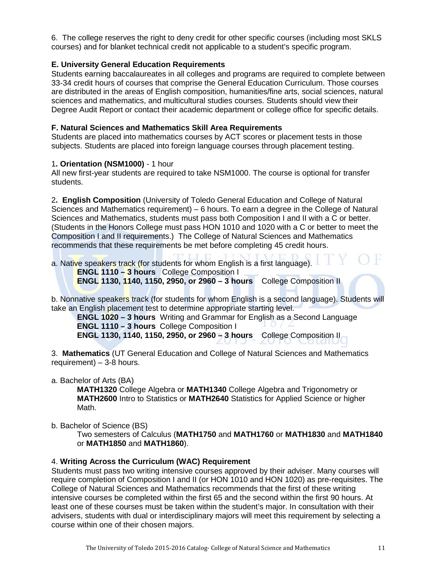6. The college reserves the right to deny credit for other specific courses (including most SKLS courses) and for blanket technical credit not applicable to a student's specific program.

# **E. University General Education Requirements**

Students earning baccalaureates in all colleges and programs are required to complete between 33-34 credit hours of courses that comprise the General Education Curriculum. Those courses are distributed in the areas of English composition, humanities/fine arts, social sciences, natural sciences and mathematics, and multicultural studies courses. Students should view their Degree Audit Report or contact their academic department or college office for specific details.

# **F. Natural Sciences and Mathematics Skill Area Requirements**

Students are placed into mathematics courses by ACT scores or placement tests in those subjects. Students are placed into foreign language courses through placement testing.

## 1**. Orientation (NSM1000)** - 1 hour

All new first-year students are required to take NSM1000. The course is optional for transfer students.

2**. English Composition** (University of Toledo General Education and College of Natural Sciences and Mathematics requirement) – 6 hours. To earn a degree in the College of Natural Sciences and Mathematics, students must pass both Composition I and II with a C or better. (Students in the Honors College must pass HON 1010 and 1020 with a C or better to meet the Composition I and II requirements.) The College of Natural Sciences and Mathematics recommends that these requirements be met before completing 45 credit hours.

a. Native speakers track (for students for whom English is a first language).

 **ENGL 1110 – 3 hours** College Composition I  **ENGL 1130, 1140, 1150, 2950, or 2960 – 3 hours** College Composition II

b. Nonnative speakers track (for students for whom English is a second language). Students will take an English placement test to determine appropriate starting level.

**ENGL 1020 – 3 hours** Writing and Grammar for English as a Second Language  **ENGL 1110 – 3 hours** College Composition I

**ENGL 1130, 1140, 1150, 2950, or 2960 – 3 hours** College Composition II

3. **Mathematics** (UT General Education and College of Natural Sciences and Mathematics requirement) – 3-8 hours.

#### a. Bachelor of Arts (BA)

**MATH1320** College Algebra or **MATH1340** College Algebra and Trigonometry or **MATH2600** Intro to Statistics or **MATH2640** Statistics for Applied Science or higher Math.

b. Bachelor of Science (BS)

Two semesters of Calculus (**MATH1750** and **MATH1760** or **MATH1830** and **MATH1840** or **MATH1850** and **MATH1860**).

# 4. **Writing Across the Curriculum (WAC) Requirement**

Students must pass two writing intensive courses approved by their adviser. Many courses will require completion of Composition I and II (or HON 1010 and HON 1020) as pre-requisites. The College of Natural Sciences and Mathematics recommends that the first of these writing intensive courses be completed within the first 65 and the second within the first 90 hours. At least one of these courses must be taken within the student's major. In consultation with their advisers, students with dual or interdisciplinary majors will meet this requirement by selecting a course within one of their chosen majors.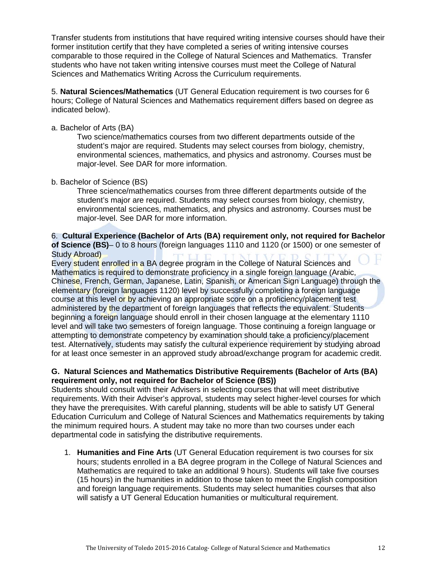Transfer students from institutions that have required writing intensive courses should have their former institution certify that they have completed a series of writing intensive courses comparable to those required in the College of Natural Sciences and Mathematics. Transfer students who have not taken writing intensive courses must meet the College of Natural Sciences and Mathematics Writing Across the Curriculum requirements.

5. **Natural Sciences/Mathematics** (UT General Education requirement is two courses for 6 hours; College of Natural Sciences and Mathematics requirement differs based on degree as indicated below).

# a. Bachelor of Arts (BA)

Two science/mathematics courses from two different departments outside of the student's major are required. Students may select courses from biology, chemistry, environmental sciences, mathematics, and physics and astronomy. Courses must be major-level. See DAR for more information.

## b. Bachelor of Science (BS)

Three science/mathematics courses from three different departments outside of the student's major are required. Students may select courses from biology, chemistry, environmental sciences, mathematics, and physics and astronomy. Courses must be major-level. See DAR for more information.

## 6. **Cultural Experience (Bachelor of Arts (BA) requirement only, not required for Bachelor of Science (BS)**– 0 to 8 hours (foreign languages 1110 and 1120 (or 1500) or one semester of Study Abroad)

Every student enrolled in a BA degree program in the College of Natural Sciences and Mathematics is required to demonstrate proficiency in a single foreign language (Arabic, Chinese, French, German, Japanese, Latin, Spanish, or American Sign Language) through the elementary (foreign languages 1120) level by successfully completing a foreign language course at this level or by achieving an appropriate score on a proficiency/placement test administered by the department of foreign languages that reflects the equivalent. Students beginning a foreign language should enroll in their chosen language at the elementary 1110 level and will take two semesters of foreign language. Those continuing a foreign language or attempting to demonstrate competency by examination should take a proficiency/placement test. Alternatively, students may satisfy the cultural experience requirement by studying abroad for at least once semester in an approved study abroad/exchange program for academic credit.

# **G. Natural Sciences and Mathematics Distributive Requirements (Bachelor of Arts (BA) requirement only, not required for Bachelor of Science (BS))**

Students should consult with their Advisers in selecting courses that will meet distributive requirements. With their Adviser's approval, students may select higher-level courses for which they have the prerequisites. With careful planning, students will be able to satisfy UT General Education Curriculum and College of Natural Sciences and Mathematics requirements by taking the minimum required hours. A student may take no more than two courses under each departmental code in satisfying the distributive requirements.

1. **Humanities and Fine Arts** (UT General Education requirement is two courses for six hours; students enrolled in a BA degree program in the College of Natural Sciences and Mathematics are required to take an additional 9 hours). Students will take five courses (15 hours) in the humanities in addition to those taken to meet the English composition and foreign language requirements. Students may select humanities courses that also will satisfy a UT General Education humanities or multicultural requirement.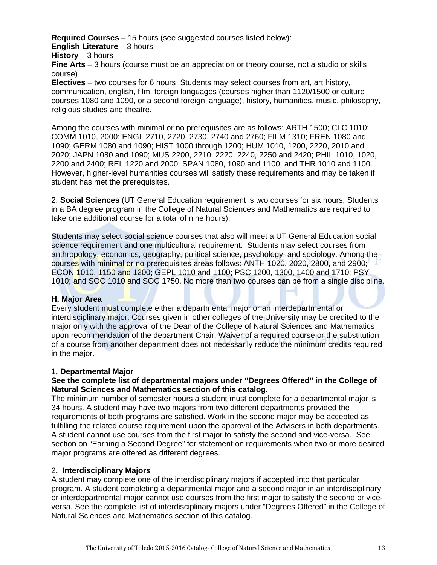**Required Courses** – 15 hours (see suggested courses listed below): **English Literature** – 3 hours **History** – 3 hours

**Fine Arts** – 3 hours (course must be an appreciation or theory course, not a studio or skills course)

**Electives** – two courses for 6 hours Students may select courses from art, art history, communication, english, film, foreign languages (courses higher than 1120/1500 or culture courses 1080 and 1090, or a second foreign language), history, humanities, music, philosophy, religious studies and theatre.

Among the courses with minimal or no prerequisites are as follows: ARTH 1500; CLC 1010; COMM 1010, 2000; ENGL 2710, 2720, 2730, 2740 and 2760; FILM 1310; FREN 1080 and 1090; GERM 1080 and 1090; HIST 1000 through 1200; HUM 1010, 1200, 2220, 2010 and 2020; JAPN 1080 and 1090; MUS 2200, 2210, 2220, 2240, 2250 and 2420; PHIL 1010, 1020, 2200 and 2400; REL 1220 and 2000; SPAN 1080, 1090 and 1100; and THR 1010 and 1100. However, higher-level humanities courses will satisfy these requirements and may be taken if student has met the prerequisites.

2. **Social Sciences** (UT General Education requirement is two courses for six hours; Students in a BA degree program in the College of Natural Sciences and Mathematics are required to take one additional course for a total of nine hours).

Students may select social science courses that also will meet a UT General Education social science requirement and one multicultural requirement. Students may select courses from anthropology, economics, geography, political science, psychology, and sociology. Among the courses with minimal or no prerequisites areas follows: ANTH 1020, 2020, 2800, and 2900; ECON 1010, 1150 and 1200; GEPL 1010 and 1100; PSC 1200, 1300, 1400 and 1710; PSY 1010; and SOC 1010 and SOC 1750. No more than two courses can be from a single discipline.

#### **H. Major Area**

Every student must complete either a departmental major or an interdepartmental or interdisciplinary major. Courses given in other colleges of the University may be credited to the major only with the approval of the Dean of the College of Natural Sciences and Mathematics upon recommendation of the department Chair. Waiver of a required course or the substitution of a course from another department does not necessarily reduce the minimum credits required in the major.

#### 1**. Departmental Major**

#### **See the complete list of departmental majors under "Degrees Offered" in the College of Natural Sciences and Mathematics section of this catalog.**

The minimum number of semester hours a student must complete for a departmental major is 34 hours. A student may have two majors from two different departments provided the requirements of both programs are satisfied. Work in the second major may be accepted as fulfilling the related course requirement upon the approval of the Advisers in both departments. A student cannot use courses from the first major to satisfy the second and vice-versa. See section on "Earning a Second Degree" for statement on requirements when two or more desired major programs are offered as different degrees.

#### 2**. Interdisciplinary Majors**

A student may complete one of the interdisciplinary majors if accepted into that particular program. A student completing a departmental major and a second major in an interdisciplinary or interdepartmental major cannot use courses from the first major to satisfy the second or viceversa. See the complete list of interdisciplinary majors under "Degrees Offered" in the College of Natural Sciences and Mathematics section of this catalog.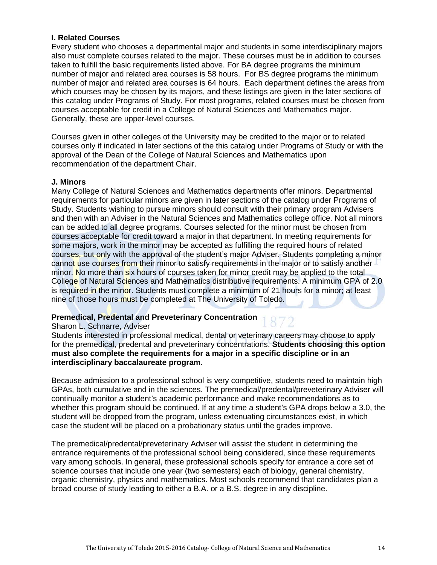# **I. Related Courses**

Every student who chooses a departmental major and students in some interdisciplinary majors also must complete courses related to the major. These courses must be in addition to courses taken to fulfill the basic requirements listed above. For BA degree programs the minimum number of major and related area courses is 58 hours. For BS degree programs the minimum number of major and related area courses is 64 hours. Each department defines the areas from which courses may be chosen by its majors, and these listings are given in the later sections of this catalog under Programs of Study. For most programs, related courses must be chosen from courses acceptable for credit in a College of Natural Sciences and Mathematics major. Generally, these are upper-level courses.

Courses given in other colleges of the University may be credited to the major or to related courses only if indicated in later sections of the this catalog under Programs of Study or with the approval of the Dean of the College of Natural Sciences and Mathematics upon recommendation of the department Chair.

## **J. Minors**

Many College of Natural Sciences and Mathematics departments offer minors. Departmental requirements for particular minors are given in later sections of the catalog under Programs of Study. Students wishing to pursue minors should consult with their primary program Advisers and then with an Adviser in the Natural Sciences and Mathematics college office. Not all minors can be added to all degree programs. Courses selected for the minor must be chosen from courses acceptable for credit toward a major in that department. In meeting requirements for some majors, work in the minor may be accepted as fulfilling the required hours of related courses, but only with the approval of the student's major Adviser. Students completing a minor cannot use courses from their minor to satisfy requirements in the major or to satisfy another minor. No more than six hours of courses taken for minor credit may be applied to the total College of Natural Sciences and Mathematics distributive requirements. A minimum GPA of 2.0 is required in the minor. Students must complete a minimum of 21 hours for a minor; at least nine of those hours must be completed at The University of Toledo.

#### **Premedical, Predental and Preveterinary Concentration**

#### Sharon L. Schnarre, Adviser

Students interested in professional medical, dental or veterinary careers may choose to apply for the premedical, predental and preveterinary concentrations. **Students choosing this option must also complete the requirements for a major in a specific discipline or in an interdisciplinary baccalaureate program.** 

Because admission to a professional school is very competitive, students need to maintain high GPAs, both cumulative and in the sciences. The premedical/predental/preveterinary Adviser will continually monitor a student's academic performance and make recommendations as to whether this program should be continued. If at any time a student's GPA drops below a 3.0, the student will be dropped from the program, unless extenuating circumstances exist, in which case the student will be placed on a probationary status until the grades improve.

The premedical/predental/preveterinary Adviser will assist the student in determining the entrance requirements of the professional school being considered, since these requirements vary among schools. In general, these professional schools specify for entrance a core set of science courses that include one year (two semesters) each of biology, general chemistry, organic chemistry, physics and mathematics. Most schools recommend that candidates plan a broad course of study leading to either a B.A. or a B.S. degree in any discipline.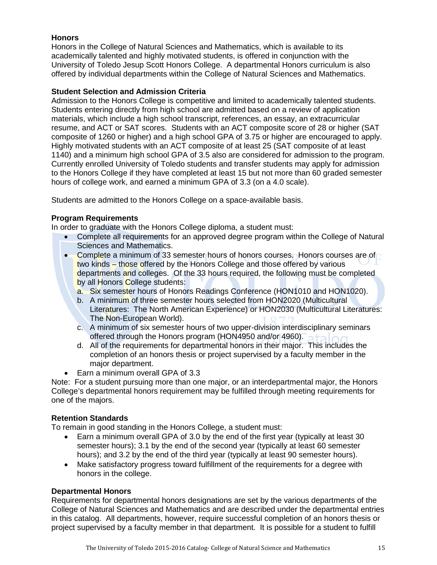# **Honors**

Honors in the College of Natural Sciences and Mathematics, which is available to its academically talented and highly motivated students, is offered in conjunction with the University of Toledo Jesup Scott Honors College. A departmental Honors curriculum is also offered by individual departments within the College of Natural Sciences and Mathematics.

# **Student Selection and Admission Criteria**

Admission to the Honors College is competitive and limited to academically talented students. Students entering directly from high school are admitted based on a review of application materials, which include a high school transcript, references, an essay, an extracurricular resume, and ACT or SAT scores. Students with an ACT composite score of 28 or higher (SAT composite of 1260 or higher) and a high school GPA of 3.75 or higher are encouraged to apply. Highly motivated students with an ACT composite of at least 25 (SAT composite of at least 1140) and a minimum high school GPA of 3.5 also are considered for admission to the program. Currently enrolled University of Toledo students and transfer students may apply for admission to the Honors College if they have completed at least 15 but not more than 60 graded semester hours of college work, and earned a minimum GPA of 3.3 (on a 4.0 scale).

Students are admitted to the Honors College on a space-available basis.

# **Program Requirements**

In order to graduate with the Honors College diploma, a student must:

- Complete all requirements for an approved degree program within the College of Natural Sciences and Mathematics.
- Complete a minimum of 33 semester hours of honors courses. Honors courses are of two kinds – those offered by the Honors College and those offered by various departments and colleges. Of the 33 hours required, the following must be completed by all Honors College students:
	- a. Six semester hours of Honors Readings Conference (HON1010 and HON1020).
	- b. A minimum of three semester hours selected from HON2020 (Multicultural Literatures: The North American Experience) or HON2030 (Multicultural Literatures: The Non-European World).
	- c. A minimum of six semester hours of two upper-division interdisciplinary seminars offered through the Honors program (HON4950 and/or 4960).
	- d. All of the requirements for departmental honors in their major. This includes the completion of an honors thesis or project supervised by a faculty member in the major department.
- Earn a minimum overall GPA of 3.3

Note: For a student pursuing more than one major, or an interdepartmental major, the Honors College's departmental honors requirement may be fulfilled through meeting requirements for one of the majors.

# **Retention Standards**

To remain in good standing in the Honors College, a student must:

- Earn a minimum overall GPA of 3.0 by the end of the first year (typically at least 30 semester hours); 3.1 by the end of the second year (typically at least 60 semester hours); and 3.2 by the end of the third year (typically at least 90 semester hours).
- Make satisfactory progress toward fulfillment of the requirements for a degree with honors in the college.

# **Departmental Honors**

Requirements for departmental honors designations are set by the various departments of the College of Natural Sciences and Mathematics and are described under the departmental entries in this catalog. All departments, however, require successful completion of an honors thesis or project supervised by a faculty member in that department. It is possible for a student to fulfill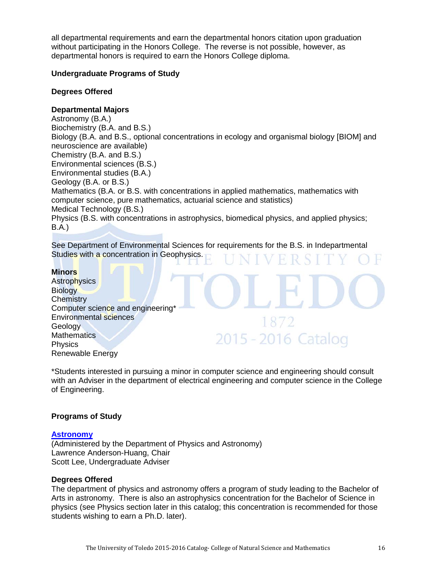all departmental requirements and earn the departmental honors citation upon graduation without participating in the Honors College. The reverse is not possible, however, as departmental honors is required to earn the Honors College diploma.

## **Undergraduate Programs of Study**

#### **Degrees Offered**

#### **Departmental Majors**

Astronomy (B.A.) Biochemistry (B.A. and B.S.) Biology (B.A. and B.S., optional concentrations in ecology and organismal biology [BIOM] and neuroscience are available) Chemistry (B.A. and B.S.) Environmental sciences (B.S.) Environmental studies (B.A.) Geology (B.A. or B.S.) Mathematics (B.A. or B.S. with concentrations in applied mathematics, mathematics with computer science, pure mathematics, actuarial science and statistics) Medical Technology (B.S.) Physics (B.S. with concentrations in astrophysics, biomedical physics, and applied physics; B.A*.*)

See Department of Environmental Sciences for requirements for the B.S. in Indepartmental Studies with a concentration in Geophysics.

#### **Minors**

**Astrophysics Biology Chemistry** Computer science and engineering\* Environmental sciences **Geology Mathematics Physics** Renewable Energy

\*Students interested in pursuing a minor in computer science and engineering should consult with an Adviser in the department of electrical engineering and computer science in the College of Engineering.

2015 - 2016 Catalog

#### **Programs of Study**

#### **[Astronomy](http://www.utoledo.edu/nsm/physast/index.html)**

(Administered by the Department of Physics and Astronomy) Lawrence Anderson-Huang, Chair Scott Lee, Undergraduate Adviser

#### **Degrees Offered**

The department of physics and astronomy offers a program of study leading to the Bachelor of Arts in astronomy. There is also an astrophysics concentration for the Bachelor of Science in physics (see Physics section later in this catalog; this concentration is recommended for those students wishing to earn a Ph.D. later).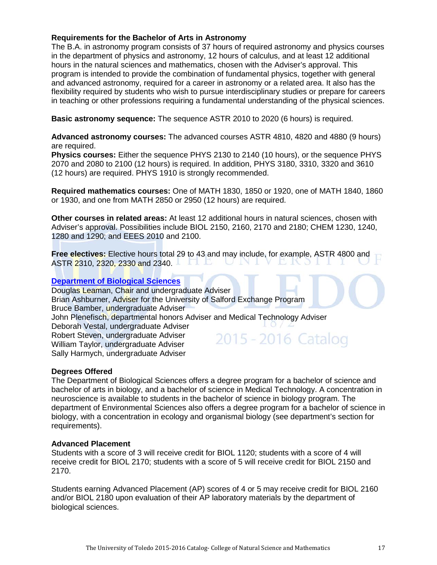# **Requirements for the Bachelor of Arts in Astronomy**

The B.A. in astronomy program consists of 37 hours of required astronomy and physics courses in the department of physics and astronomy, 12 hours of calculus, and at least 12 additional hours in the natural sciences and mathematics, chosen with the Adviser's approval. This program is intended to provide the combination of fundamental physics, together with general and advanced astronomy, required for a career in astronomy or a related area. It also has the flexibility required by students who wish to pursue interdisciplinary studies or prepare for careers in teaching or other professions requiring a fundamental understanding of the physical sciences.

**Basic astronomy sequence:** The sequence ASTR 2010 to 2020 (6 hours) is required.

**Advanced astronomy courses:** The advanced courses ASTR 4810, 4820 and 4880 (9 hours) are required.

**Physics courses:** Either the sequence PHYS 2130 to 2140 (10 hours), or the sequence PHYS 2070 and 2080 to 2100 (12 hours) is required. In addition, PHYS 3180, 3310, 3320 and 3610 (12 hours) are required. PHYS 1910 is strongly recommended.

**Required mathematics courses:** One of MATH 1830, 1850 or 1920, one of MATH 1840, 1860 or 1930, and one from MATH 2850 or 2950 (12 hours) are required.

**Other courses in related areas:** At least 12 additional hours in natural sciences, chosen with Adviser's approval. Possibilities include BIOL 2150, 2160, 2170 and 2180; CHEM 1230, 1240, 1280 and 1290; and EEES 2010 and 2100.

**Free electives:** Elective hours total 29 to 43 and may include, for example, ASTR 4800 and ASTR 2310, 2320, 2330 and 2340.

#### **[Department of Biological Sciences](http://www.utoledo.edu/nsm/bio/index.html)**

Douglas Leaman, Chair and undergraduate Adviser Brian Ashburner, Adviser for the University of Salford Exchange Program Bruce Bamber, undergraduate Adviser John Plenefisch, departmental honors Adviser and Medical Technology Adviser Deborah Vestal, undergraduate Adviser Robert Steven, undergraduate Adviser 2015 - 2016 Catalog William Taylor, undergraduate Adviser Sally Harmych, undergraduate Adviser

#### **Degrees Offered**

The Department of Biological Sciences offers a degree program for a bachelor of science and bachelor of arts in biology, and a bachelor of science in Medical Technology. A concentration in neuroscience is available to students in the bachelor of science in biology program. The department of Environmental Sciences also offers a degree program for a bachelor of science in biology, with a concentration in ecology and organismal biology (see department's section for requirements).

#### **Advanced Placement**

Students with a score of 3 will receive credit for BIOL 1120; students with a score of 4 will receive credit for BIOL 2170; students with a score of 5 will receive credit for BIOL 2150 and 2170.

Students earning Advanced Placement (AP) scores of 4 or 5 may receive credit for BIOL 2160 and/or BIOL 2180 upon evaluation of their AP laboratory materials by the department of biological sciences.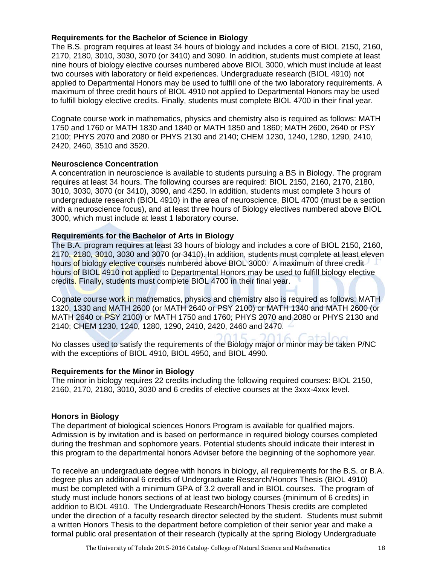# **Requirements for the Bachelor of Science in Biology**

The B.S. program requires at least 34 hours of biology and includes a core of BIOL 2150, 2160, 2170, 2180, 3010, 3030, 3070 (or 3410) and 3090. In addition, students must complete at least nine hours of biology elective courses numbered above BIOL 3000, which must include at least two courses with laboratory or field experiences. Undergraduate research (BIOL 4910) not applied to Departmental Honors may be used to fulfill one of the two laboratory requirements. A maximum of three credit hours of BIOL 4910 not applied to Departmental Honors may be used to fulfill biology elective credits. Finally, students must complete BIOL 4700 in their final year.

Cognate course work in mathematics, physics and chemistry also is required as follows: MATH 1750 and 1760 or MATH 1830 and 1840 or MATH 1850 and 1860; MATH 2600, 2640 or PSY 2100; PHYS 2070 and 2080 or PHYS 2130 and 2140; CHEM 1230, 1240, 1280, 1290, 2410, 2420, 2460, 3510 and 3520.

#### **Neuroscience Concentration**

A concentration in neuroscience is available to students pursuing a BS in Biology. The program requires at least 34 hours. The following courses are required: BIOL 2150, 2160, 2170, 2180, 3010, 3030, 3070 (or 3410), 3090, and 4250. In addition, students must complete 3 hours of undergraduate research (BIOL 4910) in the area of neuroscience, BIOL 4700 (must be a section with a neuroscience focus), and at least three hours of Biology electives numbered above BIOL 3000, which must include at least 1 laboratory course.

## **Requirements for the Bachelor of Arts in Biology**

The B.A. program requires at least 33 hours of biology and includes a core of BIOL 2150, 2160, 2170, 2180, 3010, 3030 and 3070 (or 3410). In addition, students must complete at least eleven hours of biology elective courses numbered above BIOL 3000. A maximum of three credit hours of BIOL 4910 not applied to Departmental Honors may be used to fulfill biology elective credits. Finally, students must complete BIOL 4700 in their final year.

Cognate course work in mathematics, physics and chemistry also is required as follows: MATH 1320, 1330 and MATH 2600 (or MATH 2640 or PSY 2100) or MATH 1340 and MATH 2600 (or MATH 2640 or PSY 2100) or MATH 1750 and 1760; PHYS 2070 and 2080 or PHYS 2130 and 2140; CHEM 1230, 1240, 1280, 1290, 2410, 2420, 2460 and 2470.

No classes used to satisfy the requirements of the Biology major or minor may be taken P/NC with the exceptions of BIOL 4910, BIOL 4950, and BIOL 4990.

#### **Requirements for the Minor in Biology**

The minor in biology requires 22 credits including the following required courses: BIOL 2150, 2160, 2170, 2180, 3010, 3030 and 6 credits of elective courses at the 3xxx-4xxx level.

#### **Honors in Biology**

The department of biological sciences Honors Program is available for qualified majors. Admission is by invitation and is based on performance in required biology courses completed during the freshman and sophomore years. Potential students should indicate their interest in this program to the departmental honors Adviser before the beginning of the sophomore year.

To receive an undergraduate degree with honors in biology, all requirements for the B.S. or B.A. degree plus an additional 6 credits of Undergraduate Research/Honors Thesis (BIOL 4910) must be completed with a minimum GPA of 3.2 overall and in BIOL courses. The program of study must include honors sections of at least two biology courses (minimum of 6 credits) in addition to BIOL 4910. The Undergraduate Research/Honors Thesis credits are completed under the direction of a faculty research director selected by the student. Students must submit a written Honors Thesis to the department before completion of their senior year and make a formal public oral presentation of their research (typically at the spring Biology Undergraduate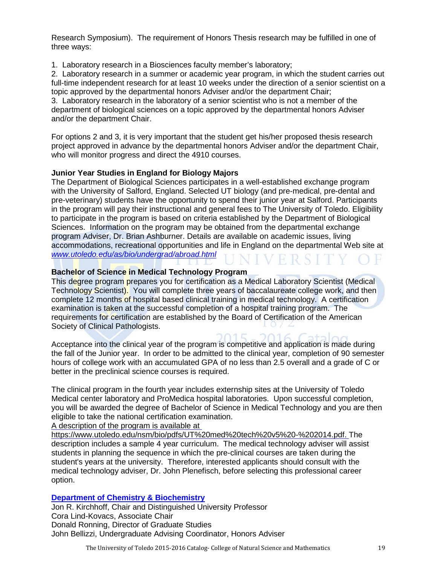Research Symposium). The requirement of Honors Thesis research may be fulfilled in one of three ways:

1. Laboratory research in a Biosciences faculty member's laboratory;

2. Laboratory research in a summer or academic year program, in which the student carries out full-time independent research for at least 10 weeks under the direction of a senior scientist on a topic approved by the departmental honors Adviser and/or the department Chair;

3. Laboratory research in the laboratory of a senior scientist who is not a member of the department of biological sciences on a topic approved by the departmental honors Adviser and/or the department Chair.

For options 2 and 3, it is very important that the student get his/her proposed thesis research project approved in advance by the departmental honors Adviser and/or the department Chair, who will monitor progress and direct the 4910 courses.

# **Junior Year Studies in England for Biology Majors**

The Department of Biological Sciences participates in a well-established exchange program with the University of Salford, England. Selected UT biology (and pre-medical, pre-dental and pre-veterinary) students have the opportunity to spend their junior year at Salford. Participants in the program will pay their instructional and general fees to The University of Toledo. Eligibility to participate in the program is based on criteria established by the Department of Biological Sciences. Information on the program may be obtained from the departmental exchange program Adviser, Dr. Brian Ashburner. Details are available on academic issues, living accommodations, recreational opportunities and life in England on the departmental Web site at *[www.utoledo.edu/as/bio/undergrad/abroad.html](http://www.utoledo.edu/as/bio/undergrad/abroad.html)*

# **Bachelor of Science in Medical Technology Program**

This degree program prepares you for certification as a Medical Laboratory Scientist (Medical Technology Scientist). You will complete three years of baccalaureate college work, and then complete 12 months of hospital based clinical training in medical technology. A certification examination is taken at the successful completion of a hospital training program. The requirements for certification are established by the Board of Certification of the American Society of Clinical Pathologists.

 $2016$ Acceptance into the clinical year of the program is competitive and application is made during the fall of the Junior year. In order to be admitted to the clinical year, completion of 90 semester hours of college work with an accumulated GPA of no less than 2.5 overall and a grade of C or better in the preclinical science courses is required.

 $11E$ 

The clinical program in the fourth year includes externship sites at the University of Toledo Medical center laboratory and ProMedica hospital laboratories. Upon successful completion, you will be awarded the degree of Bachelor of Science in Medical Technology and you are then eligible to take the national certification examination.

A description of the program is available at

https://www.utoledo.edu/nsm/bio/pdfs/UT%20med%20tech%20v5%20-%202014.pdf. The description includes a sample 4 year curriculum. The medical technology adviser will assist students in planning the sequence in which the pre-clinical courses are taken during the student's years at the university. Therefore, interested applicants should consult with the medical technology adviser, Dr. John Plenefisch, before selecting this professional career option.

# **[Department of Chemistry](http://www.utoledo.edu/nsm/chemistry/index.html) & Biochemistry**

Jon R. Kirchhoff, Chair and Distinguished University Professor Cora Lind-Kovacs, Associate Chair Donald Ronning, Director of Graduate Studies John Bellizzi, Undergraduate Advising Coordinator, Honors Adviser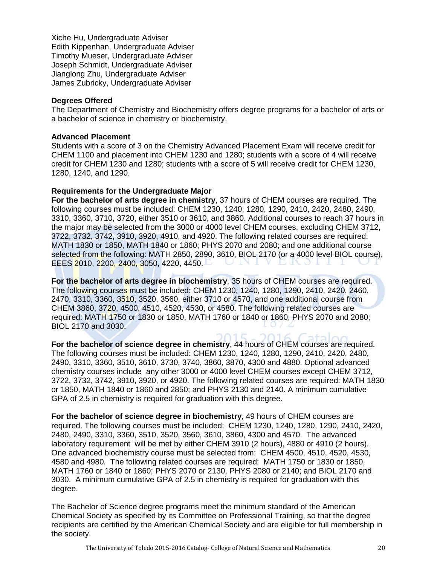Xiche Hu, Undergraduate Adviser Edith Kippenhan, Undergraduate Adviser Timothy Mueser, Undergraduate Adviser Joseph Schmidt, Undergraduate Adviser Jianglong Zhu, Undergraduate Adviser James Zubricky, Undergraduate Adviser

#### **Degrees Offered**

The Department of Chemistry and Biochemistry offers degree programs for a bachelor of arts or a bachelor of science in chemistry or biochemistry.

#### **Advanced Placement**

Students with a score of 3 on the Chemistry Advanced Placement Exam will receive credit for CHEM 1100 and placement into CHEM 1230 and 1280; students with a score of 4 will receive credit for CHEM 1230 and 1280; students with a score of 5 will receive credit for CHEM 1230, 1280, 1240, and 1290.

## **Requirements for the Undergraduate Major**

**For the bachelor of arts degree in chemistry**, 37 hours of CHEM courses are required. The following courses must be included: CHEM 1230, 1240, 1280, 1290, 2410, 2420, 2480, 2490, 3310, 3360, 3710, 3720, either 3510 or 3610, and 3860. Additional courses to reach 37 hours in the major may be selected from the 3000 or 4000 level CHEM courses, excluding CHEM 3712, 3722, 3732, 3742, 3910, 3920, 4910, and 4920. The following related courses are required: MATH 1830 or 1850, MATH 1840 or 1860; PHYS 2070 and 2080; and one additional course selected from the following: MATH 2850, 2890, 3610, BIOL 2170 (or a 4000 level BIOL course), EEES 2010, 2200, 2400, 3050, 4220, 4450.

**For the bachelor of arts degree in biochemistry**, 35 hours of CHEM courses are required. The following courses must be included: CHEM 1230, 1240, 1280, 1290, 2410, 2420, 2460, 2470, 3310, 3360, 3510, 3520, 3560, either 3710 or 4570, and one additional course from CHEM 3860, 3720, 4500, 4510, 4520, 4530, or 4580. The following related courses are required: MATH 1750 or 1830 or 1850, MATH 1760 or 1840 or 1860; PHYS 2070 and 2080; BIOL 2170 and 3030.

 $115$ **For the bachelor of science degree in chemistry**, 44 hours of CHEM courses are required. The following courses must be included: CHEM 1230, 1240, 1280, 1290, 2410, 2420, 2480, 2490, 3310, 3360, 3510, 3610, 3730, 3740, 3860, 3870, 4300 and 4880. Optional advanced chemistry courses include any other 3000 or 4000 level CHEM courses except CHEM 3712, 3722, 3732, 3742, 3910, 3920, or 4920. The following related courses are required: MATH 1830 or 1850, MATH 1840 or 1860 and 2850; and PHYS 2130 and 2140. A minimum cumulative GPA of 2.5 in chemistry is required for graduation with this degree.

**For the bachelor of science degree in biochemistry**, 49 hours of CHEM courses are required. The following courses must be included: CHEM 1230, 1240, 1280, 1290, 2410, 2420, 2480, 2490, 3310, 3360, 3510, 3520, 3560, 3610, 3860, 4300 and 4570. The advanced laboratory requirement will be met by either CHEM 3910 (2 hours), 4880 or 4910 (2 hours). One advanced biochemistry course must be selected from: CHEM 4500, 4510, 4520, 4530, 4580 and 4980. The following related courses are required: MATH 1750 or 1830 or 1850, MATH 1760 or 1840 or 1860; PHYS 2070 or 2130, PHYS 2080 or 2140; and BIOL 2170 and 3030. A minimum cumulative GPA of 2.5 in chemistry is required for graduation with this degree.

The Bachelor of Science degree programs meet the minimum standard of the American Chemical Society as specified by its Committee on Professional Training, so that the degree recipients are certified by the American Chemical Society and are eligible for full membership in the society.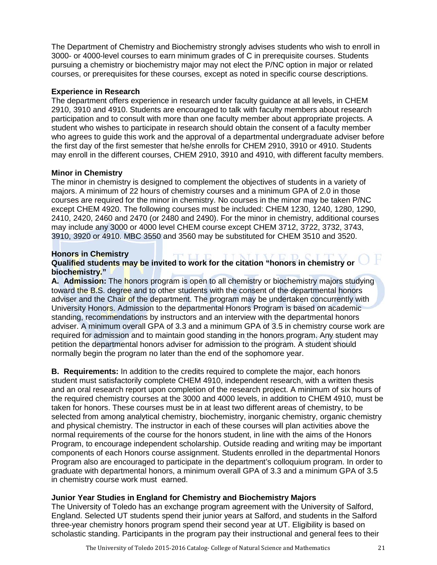The Department of Chemistry and Biochemistry strongly advises students who wish to enroll in 3000- or 4000-level courses to earn minimum grades of C in prerequisite courses. Students pursuing a chemistry or biochemistry major may not elect the P/NC option in major or related courses, or prerequisites for these courses, except as noted in specific course descriptions.

# **Experience in Research**

The department offers experience in research under faculty guidance at all levels, in CHEM 2910, 3910 and 4910. Students are encouraged to talk with faculty members about research participation and to consult with more than one faculty member about appropriate projects. A student who wishes to participate in research should obtain the consent of a faculty member who agrees to guide this work and the approval of a departmental undergraduate adviser before the first day of the first semester that he/she enrolls for CHEM 2910, 3910 or 4910. Students may enroll in the different courses, CHEM 2910, 3910 and 4910, with different faculty members.

# **Minor in Chemistry**

The minor in chemistry is designed to complement the objectives of students in a variety of majors. A minimum of 22 hours of chemistry courses and a minimum GPA of 2.0 in those courses are required for the minor in chemistry. No courses in the minor may be taken P/NC except CHEM 4920. The following courses must be included: CHEM 1230, 1240, 1280, 1290, 2410, 2420, 2460 and 2470 (or 2480 and 2490). For the minor in chemistry, additional courses may include any 3000 or 4000 level CHEM course except CHEM 3712, 3722, 3732, 3743, 3910, 3920 or 4910. MBC 3550 and 3560 may be substituted for CHEM 3510 and 3520.

# **Honors in Chemistry**

# **Qualified students may be invited to work for the citation "honors in chemistry or biochemistry."**

**A. Admission:** The honors program is open to all chemistry or biochemistry majors studying toward the B.S. degree and to other students with the consent of the departmental honors adviser and the Chair of the department. The program may be undertaken concurrently with University Honors. Admission to the departmental Honors Program is based on academic standing, recommendations by instructors and an interview with the departmental honors adviser. A minimum overall GPA of 3.3 and a minimum GPA of 3.5 in chemistry course work are required for admission and to maintain good standing in the honors program. Any student may petition the departmental honors adviser for admission to the program. A student should normally begin the program no later than the end of the sophomore year.

**B. Requirements:** In addition to the credits required to complete the major, each honors student must satisfactorily complete CHEM 4910, independent research, with a written thesis and an oral research report upon completion of the research project. A minimum of six hours of the required chemistry courses at the 3000 and 4000 levels, in addition to CHEM 4910, must be taken for honors. These courses must be in at least two different areas of chemistry, to be selected from among analytical chemistry, biochemistry, inorganic chemistry, organic chemistry and physical chemistry. The instructor in each of these courses will plan activities above the normal requirements of the course for the honors student, in line with the aims of the Honors Program, to encourage independent scholarship. Outside reading and writing may be important components of each Honors course assignment. Students enrolled in the departmental Honors Program also are encouraged to participate in the department's colloquium program. In order to graduate with departmental honors, a minimum overall GPA of 3.3 and a minimum GPA of 3.5 in chemistry course work must earned.

# **Junior Year Studies in England for Chemistry and Biochemistry Majors**

The University of Toledo has an exchange program agreement with the University of Salford, England. Selected UT students spend their junior years at Salford, and students in the Salford three-year chemistry honors program spend their second year at UT. Eligibility is based on scholastic standing. Participants in the program pay their instructional and general fees to their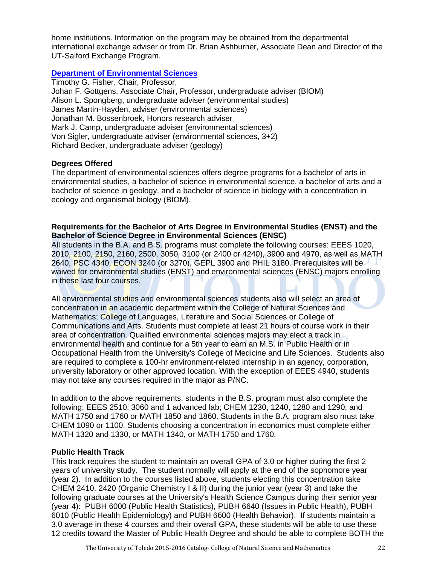home institutions. Information on the program may be obtained from the departmental international exchange adviser or from Dr. Brian Ashburner, Associate Dean and Director of the UT-Salford Exchange Program.

# **[Department of Environmental Sciences](http://www.utoledo.edu/nsm/envsciences/index.html)**

Timothy G. Fisher, Chair, Professor, Johan F. Gottgens, Associate Chair, Professor, undergraduate adviser (BIOM) Alison L. Spongberg, undergraduate adviser (environmental studies) James Martin-Hayden, adviser (environmental sciences) Jonathan M. Bossenbroek, Honors research adviser Mark J. Camp, undergraduate adviser (environmental sciences) Von Sigler, undergraduate adviser (environmental sciences, 3+2) Richard Becker, undergraduate adviser (geology)

## **Degrees Offered**

The department of environmental sciences offers degree programs for a bachelor of arts in environmental studies, a bachelor of science in environmental science, a bachelor of arts and a bachelor of science in geology, and a bachelor of science in biology with a concentration in ecology and organismal biology (BIOM).

# **Requirements for the Bachelor of Arts Degree in Environmental Studies (ENST) and the Bachelor of Science Degree in Environmental Sciences (ENSC)**

All students in the B.A. and B.S. programs must complete the following courses: EEES 1020, 2010, 2100, 2150, 2160, 2500, 3050, 3100 (or 2400 or 4240), 3900 and 4970, as well as MATH 2640, PSC 4340, ECON 3240 (or 3270), GEPL 3900 and PHIL 3180. Prerequisites will be waived for environmental studies (ENST) and environmental sciences (ENSC) majors enrolling in these last four courses.

All environmental studies and environmental sciences students also will select an area of concentration in an academic department within the College of Natural Sciences and Mathematics; College of Languages, Literature and Social Sciences or College of Communications and Arts. Students must complete at least 21 hours of course work in their area of concentration. Qualified environmental sciences majors may elect a track in environmental health and continue for a 5th year to earn an M.S. in Public Health or in Occupational Health from the University's College of Medicine and Life Sciences. Students also are required to complete a 100-hr environment-related internship in an agency, corporation, university laboratory or other approved location. With the exception of EEES 4940, students may not take any courses required in the major as P/NC.

In addition to the above requirements, students in the B.S. program must also complete the following: EEES 2510, 3060 and 1 advanced lab; CHEM 1230, 1240, 1280 and 1290; and MATH 1750 and 1760 or MATH 1850 and 1860. Students in the B.A. program also must take CHEM 1090 or 1100. Students choosing a concentration in economics must complete either MATH 1320 and 1330, or MATH 1340, or MATH 1750 and 1760.

# **Public Health Track**

This track requires the student to maintain an overall GPA of 3.0 or higher during the first 2 years of university study. The student normally will apply at the end of the sophomore year (year 2). In addition to the courses listed above, students electing this concentration take CHEM 2410, 2420 (Organic Chemistry I & II) during the junior year (year 3) and take the following graduate courses at the University's Health Science Campus during their senior year (year 4): PUBH 6000 (Public Health Statistics), PUBH 6640 (Issues in Public Health), PUBH 6010 (Public Health Epidemiology) and PUBH 6600 (Health Behavior). If students maintain a 3.0 average in these 4 courses and their overall GPA, these students will be able to use these 12 credits toward the Master of Public Health Degree and should be able to complete BOTH the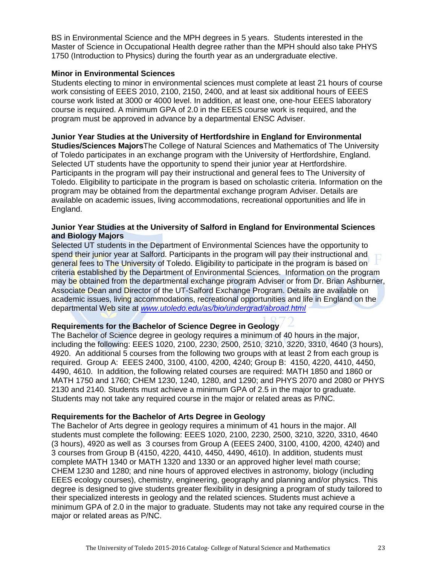BS in Environmental Science and the MPH degrees in 5 years. Students interested in the Master of Science in Occupational Health degree rather than the MPH should also take PHYS 1750 (Introduction to Physics) during the fourth year as an undergraduate elective.

#### **Minor in Environmental Sciences**

Students electing to minor in environmental sciences must complete at least 21 hours of course work consisting of EEES 2010, 2100, 2150, 2400, and at least six additional hours of EEES course work listed at 3000 or 4000 level. In addition, at least one, one-hour EEES laboratory course is required. A minimum GPA of 2.0 in the EEES course work is required, and the program must be approved in advance by a departmental ENSC Adviser.

# **Junior Year Studies at the University of Hertfordshire in England for Environmental**

**Studies/Sciences Majors**The College of Natural Sciences and Mathematics of The University of Toledo participates in an exchange program with the University of Hertfordshire, England. Selected UT students have the opportunity to spend their junior year at Hertfordshire. Participants in the program will pay their instructional and general fees to The University of Toledo. Eligibility to participate in the program is based on scholastic criteria. Information on the program may be obtained from the departmental exchange program Adviser. Details are available on academic issues, living accommodations, recreational opportunities and life in England.

## **Junior Year Studies at the University of Salford in England for Environmental Sciences and Biology Majors**

Selected UT students in the Department of Environmental Sciences have the opportunity to spend their junior year at Salford. Participants in the program will pay their instructional and general fees to The University of Toledo. Eligibility to participate in the program is based on criteria established by the Department of Environmental Sciences. Information on the program may be obtained from the departmental exchange program Adviser or from Dr. Brian Ashburner, Associate Dean and Director of the UT-Salford Exchange Program. Details are available on academic issues, living accommodations, recreational opportunities and life in England on the departmental Web site at *[www.utoledo.edu/as/bio/undergrad/abroad.html](http://www.utoledo.edu/as/bio/undergrad/abroad.html)*

# **Requirements for the Bachelor of Science Degree in Geology**

The Bachelor of Science degree in geology requires a minimum of 40 hours in the major, including the following: EEES 1020, 2100, 2230, 2500, 2510, 3210, 3220, 3310, 4640 (3 hours), 4920. An additional 5 courses from the following two groups with at least 2 from each group is required. Group A: EEES 2400, 3100, 4100, 4200, 4240; Group B: 4150, 4220, 4410, 4450, 4490, 4610. In addition, the following related courses are required: MATH 1850 and 1860 or MATH 1750 and 1760; CHEM 1230, 1240, 1280, and 1290; and PHYS 2070 and 2080 or PHYS 2130 and 2140. Students must achieve a minimum GPA of 2.5 in the major to graduate. Students may not take any required course in the major or related areas as P/NC.

# **Requirements for the Bachelor of Arts Degree in Geology**

The Bachelor of Arts degree in geology requires a minimum of 41 hours in the major. All students must complete the following: EEES 1020, 2100, 2230, 2500, 3210, 3220, 3310, 4640 (3 hours), 4920 as well as 3 courses from Group A (EEES 2400, 3100, 4100, 4200, 4240) and 3 courses from Group B (4150, 4220, 4410, 4450, 4490, 4610). In addition, students must complete MATH 1340 or MATH 1320 and 1330 or an approved higher level math course; CHEM 1230 and 1280; and nine hours of approved electives in astronomy, biology (including EEES ecology courses), chemistry, engineering, geography and planning and/or physics. This degree is designed to give students greater flexibility in designing a program of study tailored to their specialized interests in geology and the related sciences. Students must achieve a minimum GPA of 2.0 in the major to graduate. Students may not take any required course in the major or related areas as P/NC.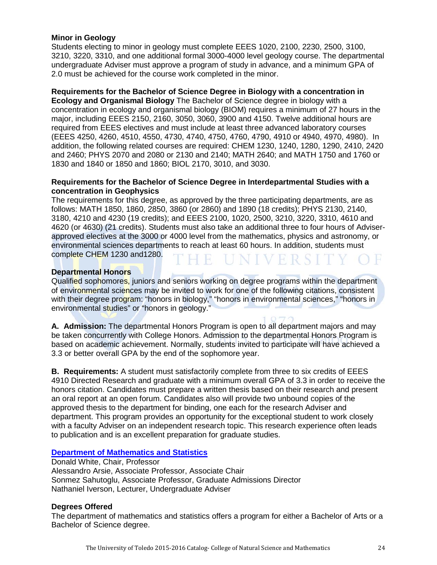# **Minor in Geology**

Students electing to minor in geology must complete EEES 1020, 2100, 2230, 2500, 3100, 3210, 3220, 3310, and one additional formal 3000-4000 level geology course. The departmental undergraduate Adviser must approve a program of study in advance, and a minimum GPA of 2.0 must be achieved for the course work completed in the minor.

#### **Requirements for the Bachelor of Science Degree in Biology with a concentration in**

**Ecology and Organismal Biology** The Bachelor of Science degree in biology with a concentration in ecology and organismal biology (BIOM) requires a minimum of 27 hours in the major, including EEES 2150, 2160, 3050, 3060, 3900 and 4150. Twelve additional hours are required from EEES electives and must include at least three advanced laboratory courses (EEES 4250, 4260, 4510, 4550, 4730, 4740, 4750, 4760, 4790, 4910 or 4940, 4970, 4980). In addition, the following related courses are required: CHEM 1230, 1240, 1280, 1290, 2410, 2420 and 2460; PHYS 2070 and 2080 or 2130 and 2140; MATH 2640; and MATH 1750 and 1760 or 1830 and 1840 or 1850 and 1860; BIOL 2170, 3010, and 3030.

#### **Requirements for the Bachelor of Science Degree in Interdepartmental Studies with a concentration in Geophysics**

The requirements for this degree, as approved by the three participating departments, are as follows: MATH 1850, 1860, 2850, 3860 (or 2860) and 1890 (18 credits); PHYS 2130, 2140, 3180, 4210 and 4230 (19 credits); and EEES 2100, 1020, 2500, 3210, 3220, 3310, 4610 and 4620 (or 4630) (21 credits). Students must also take an additional three to four hours of Adviserapproved electives at the 3000 or 4000 level from the mathematics, physics and astronomy, or environmental sciences departments to reach at least 60 hours. In addition, students must complete CHEM 1230 and1280. E UNIVERSI

## **Departmental Honors**

Qualified sophomores, juniors and seniors working on degree programs within the department of environmental sciences may be invited to work for one of the following citations, consistent with their degree program: "honors in biology," "honors in environmental sciences," "honors in environmental studies" or "honors in geology."

**A. Admission:** The departmental Honors Program is open to all department majors and may be taken concurrently with College Honors. Admission to the departmental Honors Program is based on academic achievement. Normally, students invited to participate will have achieved a 3.3 or better overall GPA by the end of the sophomore year.

**B. Requirements:** A student must satisfactorily complete from three to six credits of EEES 4910 Directed Research and graduate with a minimum overall GPA of 3.3 in order to receive the honors citation. Candidates must prepare a written thesis based on their research and present an oral report at an open forum. Candidates also will provide two unbound copies of the approved thesis to the department for binding, one each for the research Adviser and department. This program provides an opportunity for the exceptional student to work closely with a faculty Adviser on an independent research topic. This research experience often leads to publication and is an excellent preparation for graduate studies.

#### **[Department of Mathematics and Statistics](http://www.math.utoledo.edu/)**

Donald White, Chair, Professor Alessandro Arsie, Associate Professor, Associate Chair Sonmez Sahutoglu, Associate Professor, Graduate Admissions Director Nathaniel Iverson, Lecturer, Undergraduate Adviser

## **Degrees Offered**

The department of mathematics and statistics offers a program for either a Bachelor of Arts or a Bachelor of Science degree.

The University of Toledo 2015-2016 Catalog- College of Natural Science and Mathematics 24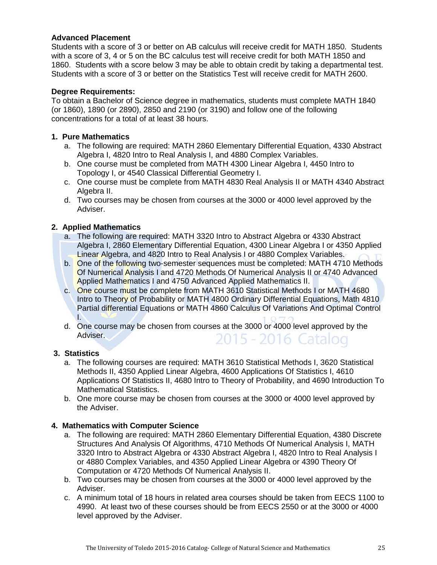# **Advanced Placement**

Students with a score of 3 or better on AB calculus will receive credit for MATH 1850. Students with a score of 3, 4 or 5 on the BC calculus test will receive credit for both MATH 1850 and 1860. Students with a score below 3 may be able to obtain credit by taking a departmental test. Students with a score of 3 or better on the Statistics Test will receive credit for MATH 2600.

# **Degree Requirements:**

To obtain a Bachelor of Science degree in mathematics, students must complete MATH 1840 (or 1860), 1890 (or 2890), 2850 and 2190 (or 3190) and follow one of the following concentrations for a total of at least 38 hours.

# **1. Pure Mathematics**

- a. The following are required: MATH 2860 Elementary Differential Equation, 4330 Abstract Algebra I, 4820 Intro to Real Analysis I, and 4880 Complex Variables.
- b. One course must be completed from MATH 4300 Linear Algebra I, 4450 Intro to Topology I, or 4540 Classical Differential Geometry I.
- c. One course must be complete from MATH 4830 Real Analysis II or MATH 4340 Abstract Algebra II.
- d. Two courses may be chosen from courses at the 3000 or 4000 level approved by the Adviser.

# **2. Applied Mathematics**

- a. The following are required: MATH 3320 Intro to Abstract Algebra or 4330 Abstract Algebra I, 2860 Elementary Differential Equation, 4300 Linear Algebra I or 4350 Applied Linear Algebra, and 4820 Intro to Real Analysis I or 4880 Complex Variables.
- b. One of the following two-semester sequences must be completed: MATH 4710 Methods Of Numerical Analysis I and 4720 Methods Of Numerical Analysis II or 4740 Advanced Applied Mathematics I and 4750 Advanced Applied Mathematics II.
- c. One course must be complete from MATH 3610 Statistical Methods I or MATH 4680 Intro to Theory of Probability or MATH 4800 Ordinary Differential Equations, Math 4810 Partial differential Equations or MATH 4860 Calculus Of Variations And Optimal Control I.
- d. One course may be chosen from courses at the 3000 or 4000 level approved by the Adviser. 2015 - 2016 Catalog

# **3. Statistics**

- a. The following courses are required: MATH 3610 Statistical Methods I, 3620 Statistical Methods II, 4350 Applied Linear Algebra, 4600 Applications Of Statistics I, 4610 Applications Of Statistics II, 4680 Intro to Theory of Probability, and 4690 Introduction To Mathematical Statistics.
- b. One more course may be chosen from courses at the 3000 or 4000 level approved by the Adviser.

# **4. Mathematics with Computer Science**

- a. The following are required: MATH 2860 Elementary Differential Equation, 4380 Discrete Structures And Analysis Of Algorithms, 4710 Methods Of Numerical Analysis I, MATH 3320 Intro to Abstract Algebra or 4330 Abstract Algebra I, 4820 Intro to Real Analysis I or 4880 Complex Variables, and 4350 Applied Linear Algebra or 4390 Theory Of Computation or 4720 Methods Of Numerical Analysis II.
- b. Two courses may be chosen from courses at the 3000 or 4000 level approved by the Adviser.
- c. A minimum total of 18 hours in related area courses should be taken from EECS 1100 to 4990. At least two of these courses should be from EECS 2550 or at the 3000 or 4000 level approved by the Adviser.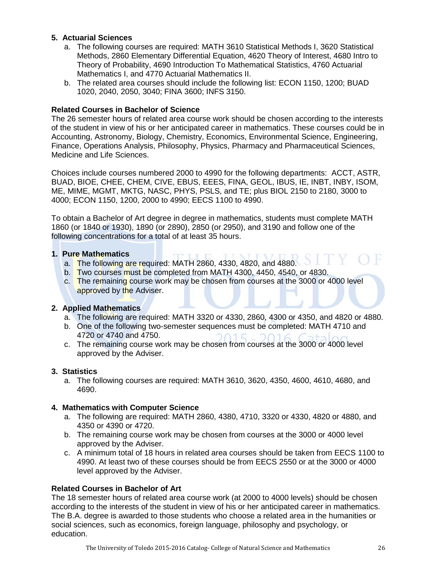# **5. Actuarial Sciences**

- a. The following courses are required: MATH 3610 Statistical Methods I, 3620 Statistical Methods, 2860 Elementary Differential Equation, 4620 Theory of Interest, 4680 Intro to Theory of Probability, 4690 Introduction To Mathematical Statistics, 4760 Actuarial Mathematics I, and 4770 Actuarial Mathematics II.
- b. The related area courses should include the following list: ECON 1150, 1200; BUAD 1020, 2040, 2050, 3040; FINA 3600; INFS 3150.

# **Related Courses in Bachelor of Science**

The 26 semester hours of related area course work should be chosen according to the interests of the student in view of his or her anticipated career in mathematics. These courses could be in Accounting, Astronomy, Biology, Chemistry, Economics, Environmental Science, Engineering, Finance, Operations Analysis, Philosophy, Physics, Pharmacy and Pharmaceutical Sciences, Medicine and Life Sciences.

Choices include courses numbered 2000 to 4990 for the following departments: ACCT, ASTR, BUAD, BIOE, CHEE, CHEM, CIVE, EBUS, EEES, FINA, GEOL, IBUS, IE, INBT, INBY, ISOM, ME, MIME, MGMT, MKTG, NASC, PHYS, PSLS, and TE; plus BIOL 2150 to 2180, 3000 to 4000; ECON 1150, 1200, 2000 to 4990; EECS 1100 to 4990.

To obtain a Bachelor of Art degree in degree in mathematics, students must complete MATH 1860 (or 1840 or 1930), 1890 (or 2890), 2850 (or 2950), and 3190 and follow one of the following concentrations for a total of at least 35 hours.

# **1. Pure Mathematics**

- a. The following are required: MATH 2860, 4330, 4820, and 4880.
- b. Two courses must be completed from MATH 4300, 4450, 4540, or 4830.
- c. The remaining course work may be chosen from courses at the 3000 or 4000 level approved by the Adviser.

# **2. Applied Mathematics**

- a. The following are required: MATH 3320 or 4330, 2860, 4300 or 4350, and 4820 or 4880.
- b. One of the following two-semester sequences must be completed: MATH 4710 and 4720 or 4740 and 4750.
- c. The remaining course work may be chosen from courses at the 3000 or 4000 level approved by the Adviser.

# **3. Statistics**

a. The following courses are required: MATH 3610, 3620, 4350, 4600, 4610, 4680, and 4690.

# **4. Mathematics with Computer Science**

- a. The following are required: MATH 2860, 4380, 4710, 3320 or 4330, 4820 or 4880, and 4350 or 4390 or 4720.
- b. The remaining course work may be chosen from courses at the 3000 or 4000 level approved by the Adviser.
- c. A minimum total of 18 hours in related area courses should be taken from EECS 1100 to 4990. At least two of these courses should be from EECS 2550 or at the 3000 or 4000 level approved by the Adviser.

# **Related Courses in Bachelor of Art**

The 18 semester hours of related area course work (at 2000 to 4000 levels) should be chosen according to the interests of the student in view of his or her anticipated career in mathematics. The B.A. degree is awarded to those students who choose a related area in the humanities or social sciences, such as economics, foreign language, philosophy and psychology, or education.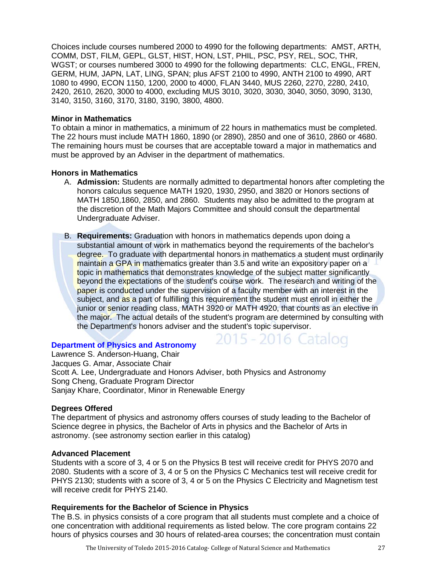Choices include courses numbered 2000 to 4990 for the following departments: AMST, ARTH, COMM, DST, FILM, GEPL, GLST, HIST, HON, LST, PHIL, PSC, PSY, REL, SOC, THR, WGST; or courses numbered 3000 to 4990 for the following departments: CLC, ENGL, FREN, GERM, HUM, JAPN, LAT, LING, SPAN; plus AFST 2100 to 4990, ANTH 2100 to 4990, ART 1080 to 4990, ECON 1150, 1200, 2000 to 4000, FLAN 3440, MUS 2260, 2270, 2280, 2410, 2420, 2610, 2620, 3000 to 4000, excluding MUS 3010, 3020, 3030, 3040, 3050, 3090, 3130, 3140, 3150, 3160, 3170, 3180, 3190, 3800, 4800.

#### **Minor in Mathematics**

To obtain a minor in mathematics, a minimum of 22 hours in mathematics must be completed. The 22 hours must include MATH 1860, 1890 (or 2890), 2850 and one of 3610, 2860 or 4680. The remaining hours must be courses that are acceptable toward a major in mathematics and must be approved by an Adviser in the department of mathematics.

#### **Honors in Mathematics**

- A. **Admission:** Students are normally admitted to departmental honors after completing the honors calculus sequence MATH 1920, 1930, 2950, and 3820 or Honors sections of MATH 1850,1860, 2850, and 2860. Students may also be admitted to the program at the discretion of the Math Majors Committee and should consult the departmental Undergraduate Adviser.
- B. **Requirements:** Graduation with honors in mathematics depends upon doing a substantial amount of work in mathematics beyond the requirements of the bachelor's degree. To graduate with departmental honors in mathematics a student must ordinarily maintain a GPA in mathematics greater than 3.5 and write an expository paper on a topic in mathematics that demonstrates knowledge of the subject matter significantly beyond the expectations of the student's course work. The research and writing of the paper is conducted under the supervision of a faculty member with an interest in the subject, and as a part of fulfilling this requirement the student must enroll in either the junior or senior reading class, MATH 3920 or MATH 4920, that counts as an elective in the major. The actual details of the student's program are determined by consulting with the Department's honors adviser and the student's topic supervisor.

2015 - 2016 Catalog

#### **[Department of Physics and Astronomy](http://www.utoledo.edu/nsm/physast/index.html)**

Lawrence S. Anderson-Huang, Chair Jacques G. Amar, Associate Chair Scott A. Lee, Undergraduate and Honors Adviser, both Physics and Astronomy Song Cheng, Graduate Program Director Sanjay Khare, Coordinator, Minor in Renewable Energy

#### **Degrees Offered**

The department of physics and astronomy offers courses of study leading to the Bachelor of Science degree in physics, the Bachelor of Arts in physics and the Bachelor of Arts in astronomy. (see astronomy section earlier in this catalog)

## **Advanced Placement**

Students with a score of 3, 4 or 5 on the Physics B test will receive credit for PHYS 2070 and 2080. Students with a score of 3, 4 or 5 on the Physics C Mechanics test will receive credit for PHYS 2130; students with a score of 3, 4 or 5 on the Physics C Electricity and Magnetism test will receive credit for PHYS 2140.

#### **Requirements for the Bachelor of Science in Physics**

The B.S. in physics consists of a core program that all students must complete and a choice of one concentration with additional requirements as listed below. The core program contains 22 hours of physics courses and 30 hours of related-area courses; the concentration must contain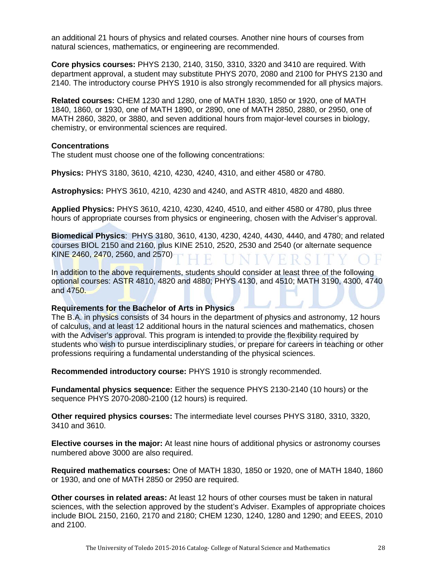an additional 21 hours of physics and related courses. Another nine hours of courses from natural sciences, mathematics, or engineering are recommended.

**Core physics courses:** PHYS 2130, 2140, 3150, 3310, 3320 and 3410 are required. With department approval, a student may substitute PHYS 2070, 2080 and 2100 for PHYS 2130 and 2140. The introductory course PHYS 1910 is also strongly recommended for all physics majors.

**Related courses:** CHEM 1230 and 1280, one of MATH 1830, 1850 or 1920, one of MATH 1840, 1860, or 1930, one of MATH 1890, or 2890, one of MATH 2850, 2880, or 2950, one of MATH 2860, 3820, or 3880, and seven additional hours from major-level courses in biology, chemistry, or environmental sciences are required.

#### **Concentrations**

The student must choose one of the following concentrations:

**Physics:** PHYS 3180, 3610, 4210, 4230, 4240, 4310, and either 4580 or 4780.

**Astrophysics:** PHYS 3610, 4210, 4230 and 4240, and ASTR 4810, 4820 and 4880.

**Applied Physics:** PHYS 3610, 4210, 4230, 4240, 4510, and either 4580 or 4780, plus three hours of appropriate courses from physics or engineering, chosen with the Adviser's approval.

**Biomedical Physics**: PHYS 3180, 3610, 4130, 4230, 4240, 4430, 4440, and 4780; and related courses BIOL 2150 and 2160, plus KINE 2510, 2520, 2530 and 2540 (or alternate sequence KINE 2460, 2470, 2560, and 2570)

In addition to the above requirements, students should consider at least three of the following optional courses: ASTR 4810, 4820 and 4880; PHYS 4130, and 4510; MATH 3190, 4300, 4740 and 4750.

#### **Requirements for the Bachelor of Arts in Physics**

The B.A. in physics consists of 34 hours in the department of physics and astronomy, 12 hours of calculus, and at least 12 additional hours in the natural sciences and mathematics, chosen with the Adviser's approval. This program is intended to provide the flexibility required by students who wish to pursue interdisciplinary studies, or prepare for careers in teaching or other professions requiring a fundamental understanding of the physical sciences.

**Recommended introductory course:** PHYS 1910 is strongly recommended.

**Fundamental physics sequence:** Either the sequence PHYS 2130-2140 (10 hours) or the sequence PHYS 2070-2080-2100 (12 hours) is required.

**Other required physics courses:** The intermediate level courses PHYS 3180, 3310, 3320, 3410 and 3610.

**Elective courses in the major:** At least nine hours of additional physics or astronomy courses numbered above 3000 are also required.

**Required mathematics courses:** One of MATH 1830, 1850 or 1920, one of MATH 1840, 1860 or 1930, and one of MATH 2850 or 2950 are required.

**Other courses in related areas:** At least 12 hours of other courses must be taken in natural sciences, with the selection approved by the student's Adviser. Examples of appropriate choices include BIOL 2150, 2160, 2170 and 2180; CHEM 1230, 1240, 1280 and 1290; and EEES, 2010 and 2100.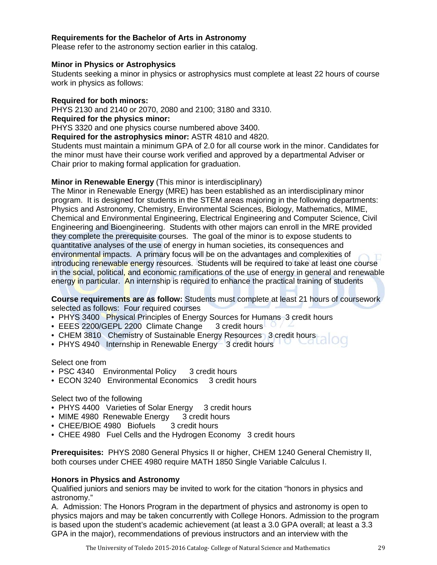## **Requirements for the Bachelor of Arts in Astronomy**

Please refer to the astronomy section earlier in this catalog.

#### **Minor in Physics or Astrophysics**

Students seeking a minor in physics or astrophysics must complete at least 22 hours of course work in physics as follows:

#### **Required for both minors:**

PHYS 2130 and 2140 or 2070, 2080 and 2100; 3180 and 3310. **Required for the physics minor:**

PHYS 3320 and one physics course numbered above 3400.

**Required for the astrophysics minor:** ASTR 4810 and 4820.

Students must maintain a minimum GPA of 2.0 for all course work in the minor. Candidates for the minor must have their course work verified and approved by a departmental Adviser or Chair prior to making formal application for graduation.

#### **Minor in Renewable Energy** (This minor is interdisciplinary)

The Minor in Renewable Energy (MRE) has been established as an interdisciplinary minor program. It is designed for students in the STEM areas majoring in the following departments: Physics and Astronomy, Chemistry, Environmental Sciences, Biology, Mathematics, MIME, Chemical and Environmental Engineering, Electrical Engineering and Computer Science, Civil Engineering and Bioengineering. Students with other majors can enroll in the MRE provided they complete the prerequisite courses. The goal of the minor is to expose students to quantitative analyses of the use of energy in human societies, its consequences and environmental impacts. A primary focus will be on the advantages and complexities of introducing renewable energy resources. Students will be required to take at least one course in the social, political, and economic ramifications of the use of energy in general and renewable energy in particular. An internship is required to enhance the practical training of students

**Course requirements are as follow:** Students must complete at least 21 hours of coursework selected as follows: Four required courses

- PHYS 3400 Physical Principles of Energy Sources for Humans 3 credit hours
- EEES 2200/GEPL 2200 Climate Change 3 credit hours
- CHEM 3810 Chemistry of Sustainable Energy Resources 3 credit hours
- PHYS 4940 Internship in Renewable Energy 3 credit hours

#### Select one from

- PSC 4340 Environmental Policy 3 credit hours
- ECON 3240 Environmental Economics 3 credit hours

#### Select two of the following

- PHYS 4400 Varieties of Solar Energy 3 credit hours
- MIME 4980 Renewable Energy 3 credit hours
- CHEE/BIOE 4980 Biofuels 3 credit hours
- CHEE 4980 Fuel Cells and the Hydrogen Economy 3 credit hours

**Prerequisites:** PHYS 2080 General Physics II or higher, CHEM 1240 General Chemistry II, both courses under CHEE 4980 require MATH 1850 Single Variable Calculus I.

#### **Honors in Physics and Astronomy**

Qualified juniors and seniors may be invited to work for the citation "honors in physics and astronomy."

A. Admission: The Honors Program in the department of physics and astronomy is open to physics majors and may be taken concurrently with College Honors. Admission to the program is based upon the student's academic achievement (at least a 3.0 GPA overall; at least a 3.3 GPA in the major), recommendations of previous instructors and an interview with the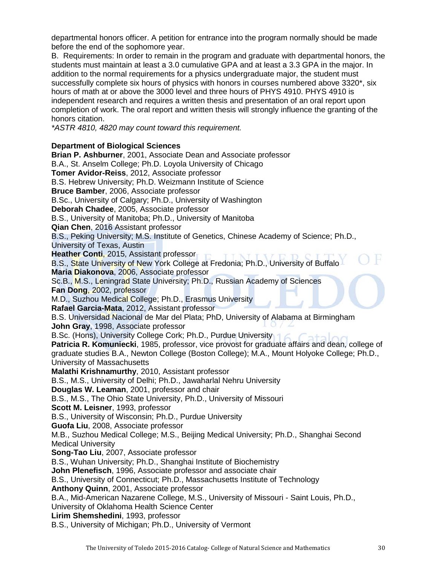departmental honors officer. A petition for entrance into the program normally should be made before the end of the sophomore year.

B. Requirements: In order to remain in the program and graduate with departmental honors, the students must maintain at least a 3.0 cumulative GPA and at least a 3.3 GPA in the major. In addition to the normal requirements for a physics undergraduate major, the student must successfully complete six hours of physics with honors in courses numbered above 3320\*, six hours of math at or above the 3000 level and three hours of PHYS 4910. PHYS 4910 is independent research and requires a written thesis and presentation of an oral report upon completion of work. The oral report and written thesis will strongly influence the granting of the honors citation.

*\*ASTR 4810, 4820 may count toward this requirement.* 

# **Department of Biological Sciences**

**Brian P. Ashburner**, 2001, Associate Dean and Associate professor B.A., St. Anselm College; Ph.D. Loyola University of Chicago **Tomer Avidor-Reiss**, 2012, Associate professor B.S. Hebrew University; Ph.D. Weizmann Institute of Science **Bruce Bamber**, 2006, Associate professor B.Sc., University of Calgary; Ph.D., University of Washington **Deborah Chadee**, 2005, Associate professor B.S., University of Manitoba; Ph.D., University of Manitoba **Qian Chen**, 2016 Assistant professor B.S., Peking University; M.S. Institute of Genetics, Chinese Academy of Science; Ph.D., University of Texas, Austin **Heather Conti**, 2015, Assistant professor B.S., State University of New York College at Fredonia; Ph.D., University of Buffalo **Maria Diakonova**, 2006, Associate professor Sc.B., M.S., Leningrad State University; Ph.D., Russian Academy of Sciences **Fan Dong**, 2002, professor M.D., Suzhou Medical College; Ph.D., Erasmus University **Rafael Garcia-Mata**, 2012, Assistant professor B.S. Universidad Nacional de Mar del Plata; PhD, University of Alabama at Birmingham **John Gray**, 1998, Associate professor B.Sc. (Hons), University College Cork; Ph.D., Purdue University 16 Cortology **Patricia R. Komuniecki**, 1985, professor, vice provost for graduate affairs and dean, college of graduate studies B.A., Newton College (Boston College); M.A., Mount Holyoke College; Ph.D., University of Massachusetts **Malathi Krishnamurthy**, 2010, Assistant professor B.S., M.S., University of Delhi; Ph.D., Jawaharlal Nehru University **Douglas W. Leaman**, 2001, professor and chair B.S., M.S., The Ohio State University, Ph.D., University of Missouri **Scott M. Leisner**, 1993, professor B.S., University of Wisconsin; Ph.D., Purdue University **Guofa Liu**, 2008, Associate professor M.B., Suzhou Medical College; M.S., Beijing Medical University; Ph.D., Shanghai Second Medical University **Song-Tao Liu**, 2007, Associate professor B.S., Wuhan University; Ph.D., Shanghai Institute of Biochemistry **John Plenefisch**, 1996, Associate professor and associate chair B.S., University of Connecticut; Ph.D., Massachusetts Institute of Technology **Anthony Quinn**, 2001, Associate professor B.A., Mid-American Nazarene College, M.S., University of Missouri - Saint Louis, Ph.D., University of Oklahoma Health Science Center **Lirim Shemshedini**, 1993, professor

B.S., University of Michigan; Ph.D., University of Vermont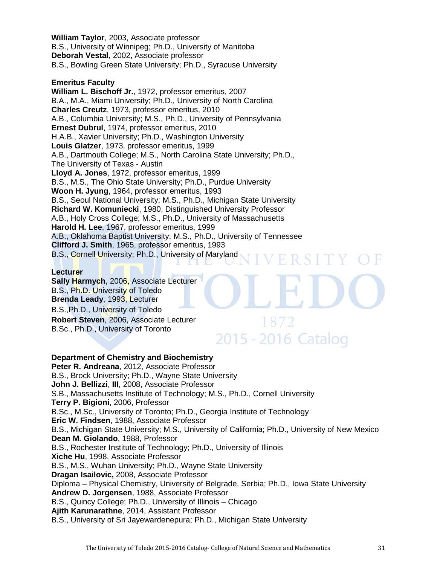**William Taylor**, 2003, Associate professor B.S., University of Winnipeg; Ph.D., University of Manitoba **Deborah Vestal**, 2002, Associate professor B.S., Bowling Green State University; Ph.D., Syracuse University

# **Emeritus Faculty**

**William L. Bischoff Jr.**, 1972, professor emeritus, 2007 B.A., M.A., Miami University; Ph.D., University of North Carolina **Charles Creutz**, 1973, professor emeritus, 2010 A.B., Columbia University; M.S., Ph.D., University of Pennsylvania **Ernest Dubrul**, 1974, professor emeritus, 2010 H.A.B., Xavier University; Ph.D., Washington University **Louis Glatzer**, 1973, professor emeritus, 1999 A.B., Dartmouth College; M.S., North Carolina State University; Ph.D., The University of Texas - Austin **Lloyd A. Jones**, 1972, professor emeritus, 1999 B.S., M.S., The Ohio State University; Ph.D., Purdue University **Woon H. Jyung**, 1964, professor emeritus, 1993 B.S., Seoul National University; M.S., Ph.D., Michigan State University **Richard W. Komuniecki**, 1980, Distinguished University Professor A.B., Holy Cross College; M.S., Ph.D., University of Massachusetts **Harold H. Lee**, 1967, professor emeritus, 1999 A.B., Oklahoma Baptist University; M.S., Ph.D., University of Tennessee **Clifford J. Smith**, 1965, professor emeritus, 1993 B.S., Cornell University; Ph.D., University of Maryland FRSI

## **Lecturer**

**Sally Harmych**, 2006, Associate Lecturer B.S., Ph.D. University of Toledo **Brenda Leady**, 1993, Lecturer B.S.,Ph.D., University of Toledo **Robert Steven**, 2006, Associate Lecturer B.Sc., Ph.D., University of Toronto

**Department of Chemistry and Biochemistry Peter R. Andreana**, 2012, Associate Professor B.S., Brock University; Ph.D., Wayne State University **John J. Bellizzi**, **III**, 2008, Associate Professor S.B., Massachusetts Institute of Technology; M.S., Ph.D., Cornell University **Terry P. Bigioni**, 2006, Professor B.Sc., M.Sc., University of Toronto; Ph.D., Georgia Institute of Technology **Eric W. Findsen**, 1988, Associate Professor B.S., Michigan State University; M.S., University of California; Ph.D., University of New Mexico **Dean M. Giolando**, 1988, Professor B.S., Rochester Institute of Technology; Ph.D., University of Illinois **Xiche Hu**, 1998, Associate Professor B.S., M.S., Wuhan University; Ph.D., Wayne State University **Dragan Isailovic,** 2008, Associate Professor Diploma – Physical Chemistry, University of Belgrade, Serbia; Ph.D., Iowa State University **Andrew D. Jorgensen**, 1988, Associate Professor B.S., Quincy College; Ph.D., University of Illinois – Chicago **Ajith Karunarathne**, 2014, Assistant Professor B.S., University of Sri Jayewardenepura; Ph.D., Michigan State University

2015 - 2016 Catalog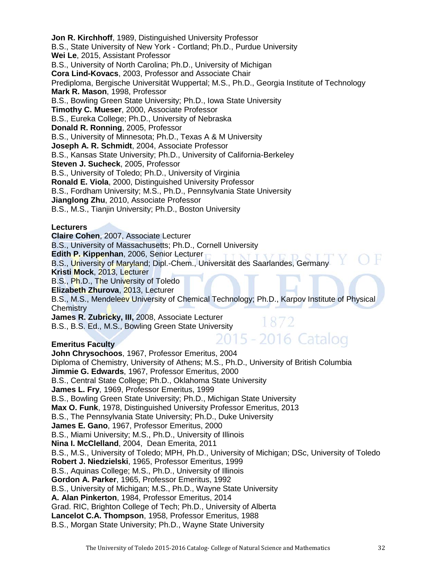**Jon R. Kirchhoff**, 1989, Distinguished University Professor B.S., State University of New York - Cortland; Ph.D., Purdue University **Wei Le**, 2015, Assistant Professor B.S., University of North Carolina; Ph.D., University of Michigan **Cora Lind-Kovacs**, 2003, Professor and Associate Chair Prediploma, Bergische Universität Wuppertal; M.S., Ph.D., Georgia Institute of Technology **Mark R. Mason**, 1998, Professor B.S., Bowling Green State University; Ph.D., Iowa State University **Timothy C. Mueser**, 2000, Associate Professor B.S., Eureka College; Ph.D., University of Nebraska **Donald R. Ronning**, 2005, Professor B.S., University of Minnesota; Ph.D., Texas A & M University **Joseph A. R. Schmidt**, 2004, Associate Professor B.S., Kansas State University; Ph.D., University of California-Berkeley **Steven J. Sucheck**, 2005, Professor B.S., University of Toledo; Ph.D., University of Virginia **Ronald E. Viola**, 2000, Distinguished University Professor B.S., Fordham University; M.S., Ph.D., Pennsylvania State University **Jianglong Zhu**, 2010, Associate Professor B.S., M.S., Tianjin University; Ph.D., Boston University **Lecturers Claire Cohen**, 2007, Associate Lecturer B.S., University of Massachusetts; Ph.D., Cornell University **Edith P. Kippenhan**, 2006, Senior Lecturer B.S., University of Maryland; Dipl.-Chem., Universität des Saarlandes, Germany **Kristi Mock**, 2013, Lecturer B.S., Ph.D., The University of Toledo **Elizabeth Zhurova**, 2013, Lecturer B.S., M.S., Mendeleev University of Chemical Technology; Ph.D., Karpov Institute of Physical **Chemistry** James R. Zubricky, III, 2008, Associate Lecturer 1872 B.S., B.S. Ed., M.S., Bowling Green State University<br>  $\frac{2015 - 2016}{\sqrt{2015}}$  Catalog **Emeritus Faculty John Chrysochoos**, 1967, Professor Emeritus, 2004 Diploma of Chemistry, University of Athens; M.S., Ph.D., University of British Columbia **Jimmie G. Edwards**, 1967, Professor Emeritus, 2000 B.S., Central State College; Ph.D., Oklahoma State University **James L. Fry**, 1969, Professor Emeritus, 1999 B.S., Bowling Green State University; Ph.D., Michigan State University **Max O. Funk**, 1978, Distinguished University Professor Emeritus, 2013 B.S., The Pennsylvania State University; Ph.D., Duke University **James E. Gano**, 1967, Professor Emeritus, 2000 B.S., Miami University; M.S., Ph.D., University of Illinois **Nina I. McClelland**, 2004, Dean Emerita, 2011 B.S., M.S., University of Toledo; MPH, Ph.D., University of Michigan; DSc, University of Toledo **Robert J. Niedzielski**, 1965, Professor Emeritus, 1999 B.S., Aquinas College; M.S., Ph.D., University of Illinois **Gordon A. Parker**, 1965, Professor Emeritus, 1992 B.S., University of Michigan; M.S., Ph.D., Wayne State University **A. Alan Pinkerton**, 1984, Professor Emeritus, 2014 Grad. RIC, Brighton College of Tech; Ph.D., University of Alberta **Lancelot C.A. Thompson**, 1958, Professor Emeritus, 1988 B.S., Morgan State University; Ph.D., Wayne State University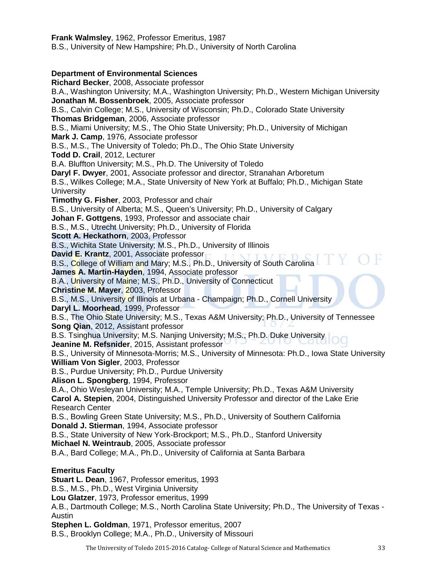**Frank Walmsley**, 1962, Professor Emeritus, 1987 B.S., University of New Hampshire; Ph.D., University of North Carolina

# **Department of Environmental Sciences**

**Richard Becker**, 2008, Associate professor B.A., Washington University; M.A., Washington University; Ph.D., Western Michigan University **Jonathan M. Bossenbroek**, 2005, Associate professor B.S., Calvin College; M.S., University of Wisconsin; Ph.D., Colorado State University **Thomas Bridgeman**, 2006, Associate professor B.S., Miami University; M.S., The Ohio State University; Ph.D., University of Michigan **Mark J. Camp**, 1976, Associate professor B.S., M.S., The University of Toledo; Ph.D., The Ohio State University **Todd D. Crail**, 2012, Lecturer B.A. Bluffton University; M.S., Ph.D. The University of Toledo **Daryl F. Dwyer**, 2001, Associate professor and director, Stranahan Arboretum B.S., Wilkes College; M.A., State University of New York at Buffalo; Ph.D., Michigan State **University Timothy G. Fisher**, 2003, Professor and chair B.S., University of Alberta; M.S., Queen's University; Ph.D., University of Calgary **Johan F. Gottgens**, 1993, Professor and associate chair B.S., M.S., Utrecht University; Ph.D., University of Florida **Scott A. Heckathorn**, 2003, Professor B.S., Wichita State University; M.S., Ph.D., University of Illinois **David E. Krantz**, 2001, Associate professor B.S., College of William and Mary; M.S., Ph.D., University of South Carolina **James A. Martin-Hayden**, 1994, Associate professor B.A., University of Maine; M.S., Ph.D., University of Connecticut **Christine M. Mayer**, 2003, Professor B.S., M.S., University of Illinois at Urbana - Champaign; Ph.D., Cornell University **Daryl L. Moorhead**, 1999, Professor B.S., The Ohio State University; M.S., Texas A&M University; Ph.D., University of Tennessee **Song Qian**, 2012, Assistant professor B.S. Tsinghua University; M.S. Nanjing University; M.S., Ph.D. Duke University **Jeanine M. Refsnider**, 2015, Assistant professor B.S., University of Minnesota-Morris; M.S., University of Minnesota: Ph.D., Iowa State University **William Von Sigler**, 2003, Professor B.S., Purdue University; Ph.D., Purdue University **Alison L. Spongberg**, 1994, Professor B.A., Ohio Wesleyan University; M.A., Temple University; Ph.D., Texas A&M University **Carol A. Stepien**, 2004, Distinguished University Professor and director of the Lake Erie Research Center B.S., Bowling Green State University; M.S., Ph.D., University of Southern California **Donald J. Stierman**, 1994, Associate professor B.S., State University of New York-Brockport; M.S., Ph.D., Stanford University **Michael N. Weintraub**, 2005, Associate professor B.A., Bard College; M.A., Ph.D., University of California at Santa Barbara **Emeritus Faculty Stuart L. Dean**, 1967, Professor emeritus, 1993 B.S., M.S., Ph.D., West Virginia University **Lou Glatzer**, 1973, Professor emeritus, 1999 A.B., Dartmouth College; M.S., North Carolina State University; Ph.D., The University of Texas - Austin

**Stephen L. Goldman**, 1971, Professor emeritus, 2007

B.S., Brooklyn College; M.A., Ph.D., University of Missouri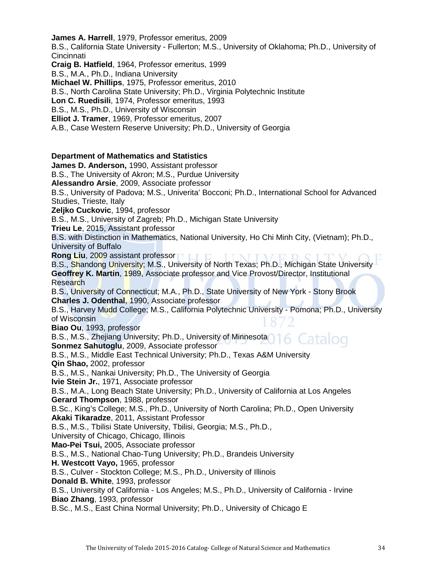**James A. Harrell**, 1979, Professor emeritus, 2009

B.S., California State University - Fullerton; M.S., University of Oklahoma; Ph.D., University of **Cincinnati** 

**Craig B. Hatfield**, 1964, Professor emeritus, 1999

B.S., M.A., Ph.D., Indiana University

**Michael W. Phillips**, 1975, Professor emeritus, 2010

B.S., North Carolina State University; Ph.D., Virginia Polytechnic Institute

**Lon C. Ruedisili**, 1974, Professor emeritus, 1993

B.S., M.S., Ph.D., University of Wisconsin

**Elliot J. Tramer**, 1969, Professor emeritus, 2007

A.B., Case Western Reserve University; Ph.D., University of Georgia

# **Department of Mathematics and Statistics**

**James D. Anderson,** 1990, Assistant professor B.S., The University of Akron; M.S., Purdue University **Alessandro Arsie**, 2009, Associate professor B.S., University of Padova; M.S., Univerita' Bocconi; Ph.D., International School for Advanced Studies, Trieste, Italy **Zeljko Cuckovic**, 1994, professor B.S., M.S., University of Zagreb; Ph.D., Michigan State University **Trieu Le**, 2015, Assistant professor B.S. with Distinction in Mathematics, National University, Ho Chi Minh City, (Vietnam); Ph.D., University of Buffalo **Rong Liu**, 2009 assistant professor B.S., Shandong University; M.S., University of North Texas; Ph.D., Michigan State University **Geoffrey K. Martin**, 1989, Associate professor and Vice Provost/Director, Institutional Research B.S., University of Connecticut; M.A., Ph.D., State University of New York - Stony Brook **Charles J. Odenthal**, 1990, Associate professor B.S., Harvey Mudd College; M.S., California Polytechnic University - Pomona; Ph.D., University of Wisconsin **Biao Ou**, 1993, professor B.S., M.S., Zhejiang University; Ph.D., University of Minnesota Catalog **Sonmez Sahutoglu**, 2009, Associate professor B.S., M.S., Middle East Technical University; Ph.D., Texas A&M University **Qin Shao,** 2002, professor B.S., M.S., Nankai University; Ph.D., The University of Georgia **Ivie Stein Jr.**, 1971, Associate professor B.S., M.A., Long Beach State University; Ph.D., University of California at Los Angeles **Gerard Thompson**, 1988, professor B.Sc., King's College; M.S., Ph.D., University of North Carolina; Ph.D., Open University **Akaki Tikaradze**, 2011, Assistant Professor B.S., M.S., Tbilisi State University, Tbilisi, Georgia; M.S., Ph.D., University of Chicago, Chicago, Illinois **Mao-Pei Tsui,** 2005, Associate professor B.S., M.S., National Chao-Tung University; Ph.D., Brandeis University **H. Westcott Vayo,** 1965, professor B.S., Culver - Stockton College; M.S., Ph.D., University of Illinois **Donald B. White**, 1993, professor

B.S., University of California - Los Angeles; M.S., Ph.D., University of California - Irvine **Biao Zhang**, 1993, professor

B.Sc., M.S., East China Normal University; Ph.D., University of Chicago E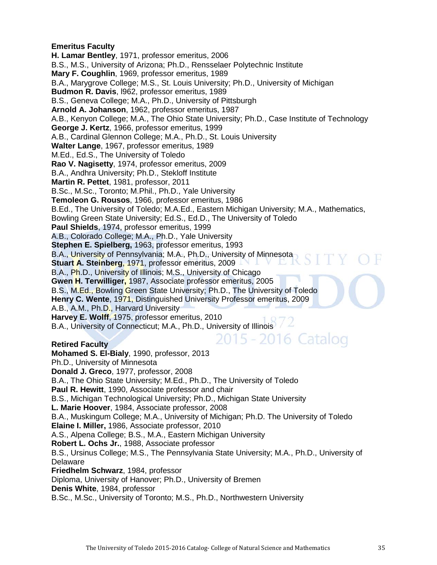# **Emeritus Faculty**

**H. Lamar Bentley**, 1971, professor emeritus, 2006 B.S., M.S., University of Arizona; Ph.D., Rensselaer Polytechnic Institute **Mary F. Coughlin**, 1969, professor emeritus, 1989 B.A., Marygrove College; M.S., St. Louis University; Ph.D., University of Michigan **Budmon R. Davis**, l962, professor emeritus, 1989 B.S., Geneva College; M.A., Ph.D., University of Pittsburgh **Arnold A. Johanson**, 1962, professor emeritus, 1987 A.B., Kenyon College; M.A., The Ohio State University; Ph.D., Case Institute of Technology **George J. Kertz**, 1966, professor emeritus, 1999 A.B., Cardinal Glennon College; M.A., Ph.D., St. Louis University **Walter Lange**, 1967, professor emeritus, 1989 M.Ed., Ed.S., The University of Toledo **Rao V. Nagisetty**, 1974, professor emeritus, 2009 B.A., Andhra University; Ph.D., Stekloff Institute **Martin R. Pettet**, 1981, professor, 2011 B.Sc., M.Sc., Toronto; M.Phil., Ph.D., Yale University **Temoleon G. Rousos**, 1966, professor emeritus, 1986 B.Ed., The University of Toledo; M.A.Ed., Eastern Michigan University; M.A., Mathematics, Bowling Green State University; Ed.S., Ed.D., The University of Toledo **Paul Shields**, 1974, professor emeritus, 1999 A.B., Colorado College; M.A., Ph.D., Yale University **Stephen E. Spielberg,** 1963, professor emeritus, 1993 B.A., University of Pennsylvania; M.A., Ph.D., University of Minnesota **Stuart A. Steinberg**, 1971, professor emeritus, 2009 B.A., Ph.D., University of Illinois; M.S., University of Chicago **Gwen H. Terwilliger,** 1987, Associate professor emeritus, 2005 B.S., M.Ed., Bowling Green State University; Ph.D., The University of Toledo **Henry C. Wente**, 1971, Distinguished University Professor emeritus, 2009 A.B., A.M., Ph.D., Harvard University **Harvey E. Wolff**, 1975, professor emeritus, 2010 B.A., University of Connecticut; M.A., Ph.D., University of Illinois /  $\angle$ 2015 - 2016 Catalog **Retired Faculty Mohamed S. El-Bialy**, 1990, professor, 2013 Ph.D., University of Minnesota **Donald J. Greco**, 1977, professor, 2008 B.A., The Ohio State University; M.Ed., Ph.D., The University of Toledo **Paul R. Hewitt**, 1990, Associate professor and chair

B.S., Michigan Technological University; Ph.D., Michigan State University

**L. Marie Hoover**, 1984, Associate professor, 2008

B.A., Muskingum College; M.A., University of Michigan; Ph.D. The University of Toledo **Elaine I. Miller,** 1986, Associate professor, 2010

A.S., Alpena College; B.S., M.A., Eastern Michigan University

**Robert L. Ochs Jr.**, 1988, Associate professor

B.S., Ursinus College; M.S., The Pennsylvania State University; M.A., Ph.D., University of Delaware

**Friedhelm Schwarz**, 1984, professor

Diploma, University of Hanover; Ph.D., University of Bremen

**Denis White**, 1984, professor

B.Sc., M.Sc., University of Toronto; M.S., Ph.D., Northwestern University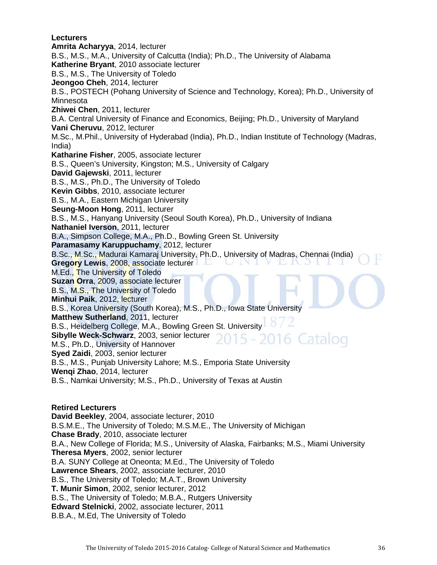## **Lecturers Amrita Acharyya**, 2014, lecturer B.S., M.S., M.A., University of Calcutta (India); Ph.D., The University of Alabama **Katherine Bryant**, 2010 associate lecturer B.S., M.S., The University of Toledo **Jeongoo Cheh**, 2014, lecturer B.S., POSTECH (Pohang University of Science and Technology, Korea); Ph.D., University of Minnesota **Zhiwei Chen**, 2011, lecturer B.A. Central University of Finance and Economics, Beijing; Ph.D., University of Maryland **Vani Cheruvu**, 2012, lecturer M.Sc., M.Phil., University of Hyderabad (India), Ph.D., Indian Institute of Technology (Madras, India) **Katharine Fisher**, 2005, associate lecturer

B.S., Queen's University, Kingston; M.S., University of Calgary **David Gajewski**, 2011, lecturer

B.S., M.S., Ph.D., The University of Toledo

**Kevin Gibbs**, 2010, associate lecturer

B.S., M.A., Eastern Michigan University

**Seung-Moon Hong**, 2011, lecturer

B.S., M.S., Hanyang University (Seoul South Korea), Ph.D., University of Indiana

**Nathaniel Iverson**, 2011, lecturer

B.A., Simpson College, M.A., Ph.D., Bowling Green St. University

**Paramasamy Karuppuchamy**, 2012, lecturer

B.Sc., M.Sc., Madurai Kamaraj University, Ph.D., University of Madras, Chennai (India)

**Gregory Lewis**, 2008, associate lecturer M.Ed., The University of Toledo

**Suzan Orra**, 2009, associate lecturer

B.S., M.S., The University of Toledo

**Minhui Paik**, 2012, lecturer

B.S., Korea University (South Korea), M.S., Ph.D., Iowa State University

**Matthew Sutherland**, 2011, lecturer

B.S., Heidelberg College, M.A., Bowling Green St. University

**Sibylle Weck-Schwarz**, 2003, senior lecturer

M.S., Ph.D., University of Hannover

**Syed Zaidi**, 2003, senior lecturer

B.S., M.S., Punjab University Lahore; M.S., Emporia State University

**Wenqi Zhao**, 2014, lecturer

B.S., Namkai University; M.S., Ph.D., University of Texas at Austin

# **Retired Lecturers**

**David Beekley**, 2004, associate lecturer, 2010 B.S.M.E., The University of Toledo; M.S.M.E., The University of Michigan **Chase Brady**, 2010, associate lecturer B.A., New College of Florida; M.S., University of Alaska, Fairbanks; M.S., Miami University **Theresa Myers**, 2002, senior lecturer B.A. SUNY College at Oneonta; M.Ed., The University of Toledo **Lawrence Shears**, 2002, associate lecturer, 2010 B.S., The University of Toledo; M.A.T., Brown University **T. Munir Simon**, 2002, senior lecturer, 2012 B.S., The University of Toledo; M.B.A., Rutgers University **Edward Stelnicki**, 2002, associate lecturer, 2011 B.B.A., M.Ed, The University of Toledo

6 Catalog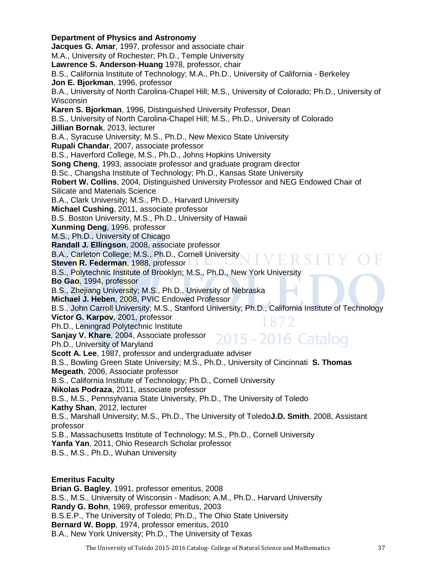**Department of Physics and Astronomy Jacques G. Amar**, 1997, professor and associate chair M.A., University of Rochester; Ph.D., Temple University **Lawrence S. Anderson**-**Huang** 1978, professor, chair B.S., California Institute of Technology; M.A., Ph.D., University of California - Berkeley **Jon E. Bjorkman**, 1996, professor B.A., University of North Carolina-Chapel Hill; M.S., University of Colorado; Ph.D., University of Wisconsin **Karen S. Bjorkman**, 1996, Distinguished University Professor, Dean B.S., University of North Carolina-Chapel Hill; M.S., Ph.D., University of Colorado **Jillian Bornak**, 2013, lecturer B.A., Syracuse University; M.S., Ph.D., New Mexico State University **Rupali Chandar**, 2007, associate professor B.S., Haverford College, M.S., Ph.D., Johns Hopkins University **Song Cheng**, 1993, associate professor and graduate program director B.Sc., Changsha Institute of Technology; Ph.D., Kansas State University **Robert W. Collins**, 2004, Distinguished University Professor and NEG Endowed Chair of Silicate and Materials Science B.A., Clark University; M.S., Ph.D., Harvard University **Michael Cushing**, 2011, associate professor B.S. Boston University, M.S., Ph.D., University of Hawaii **Xunming Deng**, 1996, professor M.S., Ph.D., University of Chicago **Randall J. Ellingson**, 2008, associate professor B.A., Carleton College; M.S., Ph.D., Cornell University IVERSI **Steven R. Federman**, 1988, professor B.S., Polytechnic Institute of Brooklyn; M.S., Ph.D., New York University **Bo Gao**, 1994, professor B.S., Zhejiang University; M.S., Ph.D., University of Nebraska **Michael J. Heben**, 2008, PVIC Endowed Professor B.S., John Carroll University; M.S., Stanford University; Ph.D., California Institute of Technology **Victor G. Karpov**, 2001, professor Ph.D., Leningrad Polytechnic Institute 2015 - 2016 Catalog **Sanjay V. Khare**, 2004, Associate professor Ph.D., University of Maryland **Scott A. Lee**, 1987, professor and undergraduate adviser B.S., Bowling Green State University; M.S., Ph.D., University of Cincinnati **S. Thomas Megeath**, 2006, Associate professor B.S., California Institute of Technology; Ph.D., Cornell University **Nikolas Podraza**, 2011, associate professor B.S., M.S., Pennsylvania State University, Ph.D., The University of Toledo **Kathy Shan**, 2012, lecturer B.S., Marshall University; M.S., Ph.D., The University of Toledo**J.D. Smith**, 2008, Assistant professor S.B., Massachusetts Institute of Technology; M.S., Ph.D., Cornell University **Yanfa Yan**, 2011, Ohio Research Scholar professor B.S., M.S., Ph.D., Wuhan University **Emeritus Faculty** 

**Brian G. Bagley**, 1991, professor emeritus, 2008 B.S., M.S., University of Wisconsin - Madison; A.M., Ph.D., Harvard University **Randy G. Bohn**, 1969, professor emeritus, 2003 B.S.E.P., The University of Toledo; Ph.D., The Ohio State University **Bernard W. Bopp**, 1974, professor emeritus, 2010 B.A., New York University; Ph.D., The University of Texas